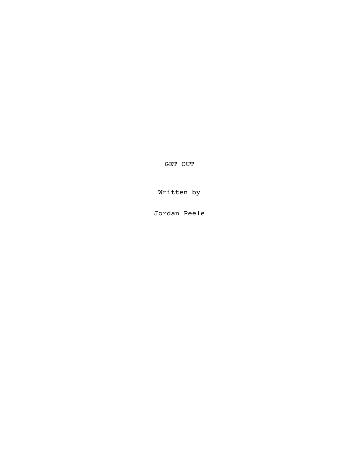GET OUT

Written by

Jordan Peele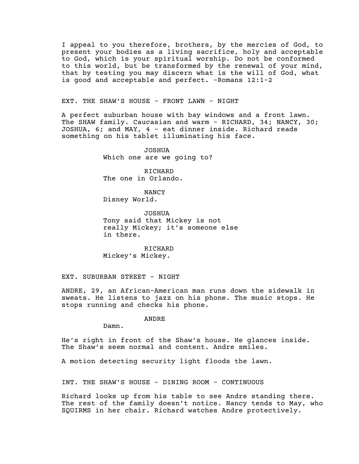I appeal to you therefore, brothers, by the mercies of God, to present your bodies as a living sacrifice, holy and acceptable to God, which is your spiritual worship. Do not be conformed to this world, but be transformed by the renewal of your mind, that by testing you may discern what is the will of God, what is good and acceptable and perfect. -Romans 12:1-2

EXT. THE SHAW'S HOUSE - FRONT LAWN - NIGHT

A perfect suburban house with bay windows and a front lawn. The SHAW family. Caucasian and warm - RICHARD, 34; NANCY, 30; JOSHUA, 6; and MAY, 4 - eat dinner inside. Richard reads something on his tablet illuminating his face.

> JOSHUA Which one are we going to?

RICHARD The one in Orlando.

NANCY Disney World.

JOSHUA Tony said that Mickey is not really Mickey; it's someone else in there.

RICHARD Mickey's Mickey.

EXT. SUBURBAN STREET - NIGHT

ANDRE, 29, an African-American man runs down the sidewalk in sweats. He listens to jazz on his phone. The music stops. He stops running and checks his phone.

ANDRE

Damn.

He's right in front of the Shaw's house. He glances inside. The Shaw's seem normal and content. Andre smiles.

A motion detecting security light floods the lawn.

INT. THE SHAW'S HOUSE - DINING ROOM - CONTINUOUS

Richard looks up from his table to see Andre standing there. The rest of the family doesn't notice. Nancy tends to May, who SQUIRMS in her chair. Richard watches Andre protectively.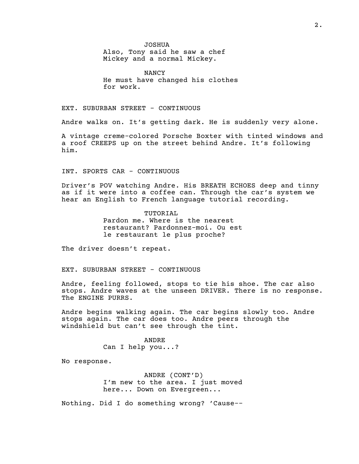JOSHUA

Also, Tony said he saw a chef Mickey and a normal Mickey.

NANCY He must have changed his clothes for work.

EXT. SUBURBAN STREET - CONTINUOUS

Andre walks on. It's getting dark. He is suddenly very alone.

A vintage creme-colored Porsche Boxter with tinted windows and a roof CREEPS up on the street behind Andre. It's following him.

INT. SPORTS CAR - CONTINUOUS

Driver's POV watching Andre. His BREATH ECHOES deep and tinny as if it were into a coffee can. Through the car's system we hear an English to French language tutorial recording.

> TUTORIAL Pardon me. Where is the nearest restaurant? Pardonnez-moi. Ou est le restaurant le plus proche?

The driver doesn't repeat.

EXT. SUBURBAN STREET - CONTINUOUS

Andre, feeling followed, stops to tie his shoe. The car also stops. Andre waves at the unseen DRIVER. There is no response. The ENGINE PURRS.

Andre begins walking again. The car begins slowly too. Andre stops again. The car does too. Andre peers through the windshield but can't see through the tint.

> ANDRE Can I help you...?

No response.

ANDRE (CONT'D) I'm new to the area. I just moved here... Down on Evergreen...

Nothing. Did I do something wrong? 'Cause--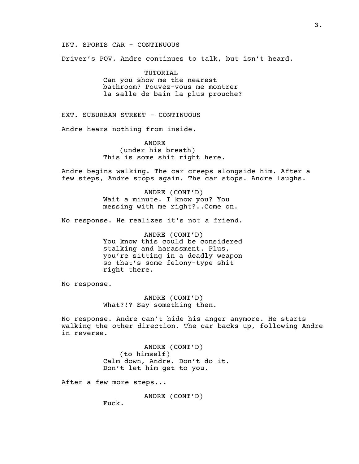# INT. SPORTS CAR - CONTINUOUS

Driver's POV. Andre continues to talk, but isn't heard.

TUTORIAL Can you show me the nearest bathroom? Pouvez-vous me montrer la salle de bain la plus prouche?

EXT. SUBURBAN STREET - CONTINUOUS

Andre hears nothing from inside.

ANDRE (under his breath) This is some shit right here.

Andre begins walking. The car creeps alongside him. After a few steps, Andre stops again. The car stops. Andre laughs.

> ANDRE (CONT'D) Wait a minute. I know you? You messing with me right?..Come on.

No response. He realizes it's not a friend.

ANDRE (CONT'D) You know this could be considered stalking and harassment. Plus, you're sitting in a deadly weapon so that's some felony-type shit right there.

No response.

ANDRE (CONT'D) What?!? Say something then.

No response. Andre can't hide his anger anymore. He starts walking the other direction. The car backs up, following Andre in reverse.

> ANDRE (CONT'D) (to himself) Calm down, Andre. Don't do it. Don't let him get to you.

After a few more steps...

ANDRE (CONT'D)

Fuck.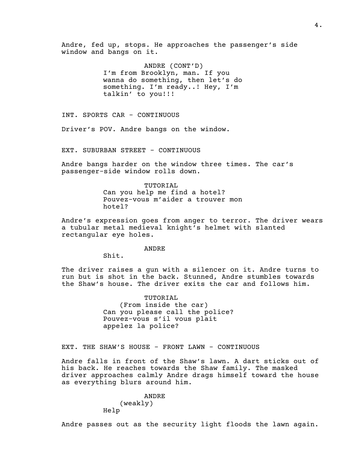Andre, fed up, stops. He approaches the passenger's side window and bangs on it.

> ANDRE (CONT'D) I'm from Brooklyn, man. If you wanna do something, then let's do something. I'm ready..! Hey, I'm talkin' to you!!!

INT. SPORTS CAR - CONTINUOUS

Driver's POV. Andre bangs on the window.

EXT. SUBURBAN STREET - CONTINUOUS

Andre bangs harder on the window three times. The car's passenger-side window rolls down.

> TUTORIAL Can you help me find a hotel? Pouvez-vous m'aider a trouver mon hotel?

Andre's expression goes from anger to terror. The driver wears a tubular metal medieval knight's helmet with slanted rectangular eye holes.

ANDRE

Shit.

The driver raises a gun with a silencer on it. Andre turns to run but is shot in the back. Stunned, Andre stumbles towards the Shaw's house. The driver exits the car and follows him.

> TUTORIAL (From inside the car) Can you please call the police? Pouvez-vous s'il vous plait appelez la police?

EXT. THE SHAW'S HOUSE - FRONT LAWN - CONTINUOUS

Andre falls in front of the Shaw's lawn. A dart sticks out of his back. He reaches towards the Shaw family. The masked driver approaches calmly Andre drags himself toward the house as everything blurs around him.

> ANDRE (weakly) Help

Andre passes out as the security light floods the lawn again.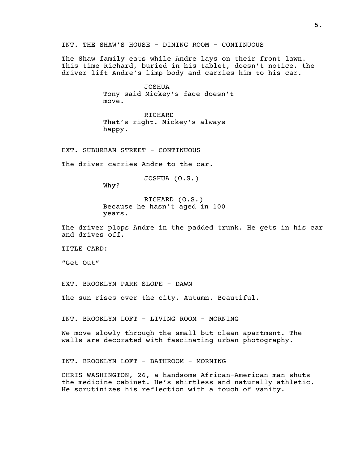INT. THE SHAW'S HOUSE - DINING ROOM - CONTINUOUS

The Shaw family eats while Andre lays on their front lawn. This time Richard, buried in his tablet, doesn't notice. the driver lift Andre's limp body and carries him to his car.

> JOSHUA Tony said Mickey's face doesn't move.

RICHARD That's right. Mickey's always happy.

EXT. SUBURBAN STREET - CONTINUOUS

The driver carries Andre to the car.

JOSHUA (O.S.)

Why?

RICHARD (O.S.) Because he hasn't aged in 100 years.

The driver plops Andre in the padded trunk. He gets in his car and drives off.

TITLE CARD:

"Get Out"

EXT. BROOKLYN PARK SLOPE - DAWN

The sun rises over the city. Autumn. Beautiful.

INT. BROOKLYN LOFT - LIVING ROOM - MORNING

We move slowly through the small but clean apartment. The walls are decorated with fascinating urban photography.

INT. BROOKLYN LOFT - BATHROOM - MORNING

CHRIS WASHINGTON, 26, a handsome African-American man shuts the medicine cabinet. He's shirtless and naturally athletic. He scrutinizes his reflection with a touch of vanity.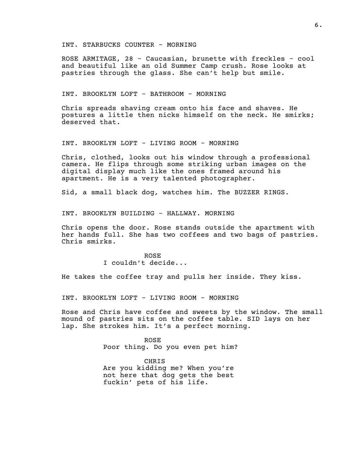INT. STARBUCKS COUNTER - MORNING

ROSE ARMITAGE, 28 - Caucasian, brunette with freckles - cool and beautiful like an old Summer Camp crush. Rose looks at pastries through the glass. She can't help but smile.

INT. BROOKLYN LOFT - BATHROOM - MORNING

Chris spreads shaving cream onto his face and shaves. He postures a little then nicks himself on the neck. He smirks; deserved that.

INT. BROOKLYN LOFT - LIVING ROOM - MORNING

Chris, clothed, looks out his window through a professional camera. He flips through some striking urban images on the digital display much like the ones framed around his apartment. He is a very talented photographer.

Sid, a small black dog, watches him. The BUZZER RINGS.

INT. BROOKLYN BUILDING - HALLWAY. MORNING

Chris opens the door. Rose stands outside the apartment with her hands full. She has two coffees and two bags of pastries. Chris smirks.

> ROSE I couldn't decide...

He takes the coffee tray and pulls her inside. They kiss.

INT. BROOKLYN LOFT - LIVING ROOM - MORNING

Rose and Chris have coffee and sweets by the window. The small mound of pastries sits on the coffee table. SID lays on her lap. She strokes him. It's a perfect morning.

> ROSE Poor thing. Do you even pet him?

CHRIS Are you kidding me? When you're not here that dog gets the best fuckin' pets of his life.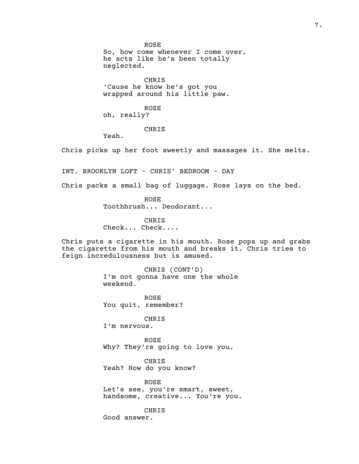ROSE So, how come whenever I come over, he acts like he's been totally neglected.

CHRIS 'Cause he know he's got you wrapped around his little paw.

ROSE oh, really?

# CHRIS

Yeah.

Chris picks up her foot sweetly and massages it. She melts.

INT. BROOKLYN LOFT - CHRIS' BEDROOM - DAY

Chris packs a small bag of luggage. Rose lays on the bed.

ROSE Toothbrush... Deodorant...

CHRIS Check... Check....

Chris puts a cigarette in his mouth. Rose pops up and grabs the cigarette from his mouth and breaks it. Chris tries to feign incredulousness but is amused.

> CHRIS (CONT'D) I'm not gonna have one the whole weekend.

ROSE You quit, remember?

CHRIS I'm nervous.

ROSE Why? They're going to love you.

CHRIS Yeah? How do you know?

ROSE Let's see, you're smart, sweet, handsome, creative... You're you.

CHRIS

Good answer.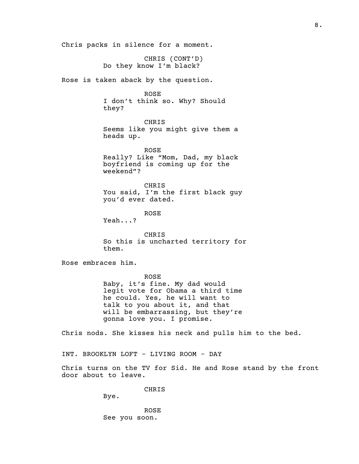Chris packs in silence for a moment. CHRIS (CONT'D) Do they know I'm black? Rose is taken aback by the question. ROSE I don't think so. Why? Should they? CHRIS Seems like you might give them a heads up. ROSE Really? Like "Mom, Dad, my black boyfriend is coming up for the weekend"? CHRIS You said, I'm the first black guy you'd ever dated. ROSE Yeah...? CHRIS So this is uncharted territory for them. Rose embraces him. ROSE Baby, it's fine. My dad would legit vote for Obama a third time he could. Yes, he will want to talk to you about it, and that will be embarrassing, but they're gonna love you. I promise. Chris nods. She kisses his neck and pulls him to the bed. INT. BROOKLYN LOFT - LIVING ROOM - DAY Chris turns on the TV for Sid. He and Rose stand by the front door about to leave. CHRIS Bye.

> ROSE See you soon.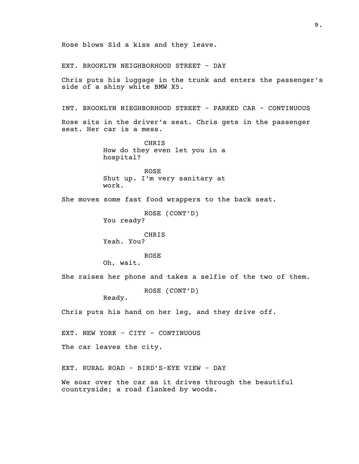EXT. BROOKLYN NEIGHBORHOOD STREET - DAY Chris puts his luggage in the trunk and enters the passenger's side of a shiny white BMW X5. INT. BROOKLYN NIEGHBORHOOD STREET - PARKED CAR - CONTINUOUS Rose sits in the driver's seat. Chris gets in the passenger seat. Her car is a mess. CHRIS How do they even let you in a hospital? ROSE Shut up. I'm very sanitary at work. She moves some fast food wrappers to the back seat. ROSE (CONT'D) You ready? CHRIS Yeah. You? ROSE Oh, wait. She raises her phone and takes a selfie of the two of them. ROSE (CONT'D) Ready. Chris puts his hand on her leg, and they drive off. EXT. NEW YORK - CITY - CONTINUOUS The car leaves the city. EXT. RURAL ROAD - BIRD'S-EYE VIEW - DAY We soar over the car as it drives through the beautiful countryside; a road flanked by woods.

Rose blows Sid a kiss and they leave.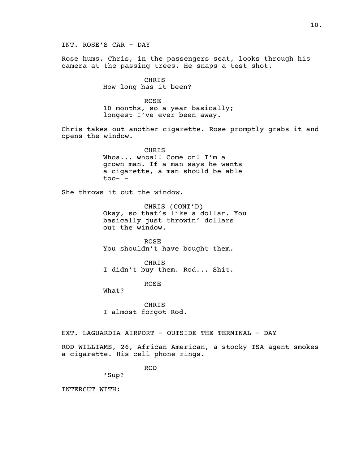INT. ROSE'S CAR - DAY Rose hums. Chris, in the passengers seat, looks through his camera at the passing trees. He snaps a test shot. CHRIS How long has it been? ROSE 10 months, so a year basically; longest I've ever been away. Chris takes out another cigarette. Rose promptly grabs it and opens the window. CHRIS Whoa... whoa!! Come on! I'm a grown man. If a man says he wants a cigarette, a man should be able  $\text{too}-$  -She throws it out the window. CHRIS (CONT'D) Okay, so that's like a dollar. You basically just throwin' dollars out the window. ROSE You shouldn't have bought them. CHRIS I didn't buy them. Rod... Shit. ROSE What? CHRIS I almost forgot Rod. EXT. LAGUARDIA AIRPORT - OUTSIDE THE TERMINAL - DAY ROD WILLIAMS, 26, African American, a stocky TSA agent smokes a cigarette. His cell phone rings. ROD

'Sup?

INTERCUT WITH: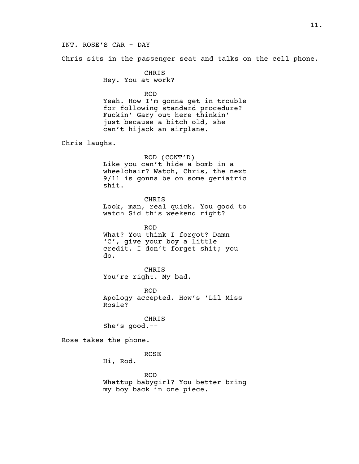# INT. ROSE'S CAR - DAY

Chris sits in the passenger seat and talks on the cell phone.

CHRIS Hey. You at work?

ROD Yeah. How I'm gonna get in trouble for following standard procedure? Fuckin' Gary out here thinkin' just because a bitch old, she can't hijack an airplane.

Chris laughs.

ROD (CONT'D) Like you can't hide a bomb in a wheelchair? Watch, Chris, the next 9/11 is gonna be on some geriatric shit.

CHRIS Look, man, real quick. You good to watch Sid this weekend right?

ROD What? You think I forgot? Damn 'C', give your boy a little credit. I don't forget shit; you do.

CHRIS You're right. My bad.

ROD Apology accepted. How's 'Lil Miss Rosie?

CHRIS She's good.--

Rose takes the phone.

ROSE

Hi, Rod.

ROD Whattup babygirl? You better bring my boy back in one piece.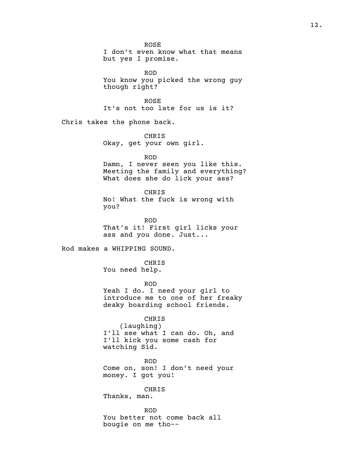ROSE I don't even know what that means but yes I promise. ROD You know you picked the wrong guy though right? ROSE It's not too late for us is it? Chris takes the phone back. CHRIS Okay, get your own girl. ROD Damn, I never seen you like this. Meeting the family and everything? What does she do lick your ass? CHRIS No! What the fuck is wrong with you? ROD That's it! First girl licks your ass and you done. Just... Rod makes a WHIPPING SOUND. CHRIS You need help. ROD Yeah I do. I need your girl to introduce me to one of her freaky deaky boarding school friends. CHRIS (laughing) I'll see what I can do. Oh, and I'll kick you some cash for watching Sid. ROD Come on, son! I don't need your money. I got you! CHRIS Thanks, man. ROD You better not come back all bougie on me tho--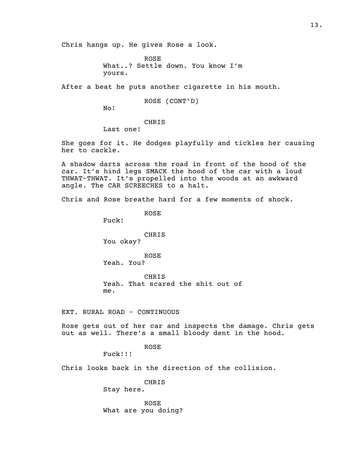Chris hangs up. He gives Rose a look.

ROSE What..? Settle down. You know I'm yours.

After a beat he puts another cigarette in his mouth.

ROSE (CONT'D)

No!

CHRIS

Last one!

She goes for it. He dodges playfully and tickles her causing her to cackle.

A shadow darts across the road in front of the hood of the car. It's hind legs SMACK the hood of the car with a loud THWAT-THWAT. It's propelled into the woods at an awkward angle. The CAR SCREECHES to a halt.

Chris and Rose breathe hard for a few moments of shock.

ROSE

Fuck!

CHRIS You okay?

ROSE Yeah. You?

CHRIS Yeah. That scared the shit out of me.

EXT. RURAL ROAD - CONTINUOUS

Rose gets out of her car and inspects the damage. Chris gets out as well. There's a small bloody dent in the hood.

ROSE

Fuck!!!

Chris looks back in the direction of the collision.

CHRIS Stay here.

ROSE What are you doing?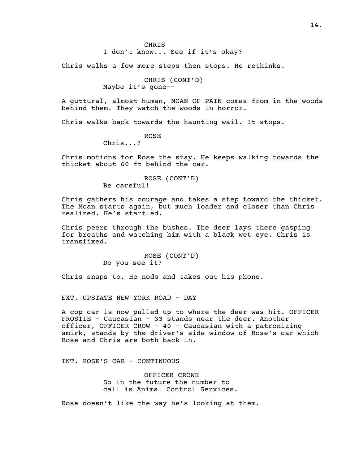I don't know... See if it's okay?

Chris walks a few more steps then stops. He rethinks.

```
CHRIS (CONT'D)
Maybe it's gone--
```
A guttural, almost human, MOAN OF PAIN comes from in the woods behind them. They watch the woods in horror.

Chris walks back towards the haunting wail. It stops.

ROSE Chris...?

Chris motions for Rose the stay. He keeps walking towards the thicket about 60 ft behind the car.

> ROSE (CONT'D) Be careful!

Chris gathers his courage and takes a step toward the thicket. The Moan starts again, but much loader and closer than Chris realized. He's startled.

Chris peers through the bushes. The deer lays there gasping for breaths and watching him with a black wet eye. Chris is transfixed.

> ROSE (CONT'D) Do you see it?

Chris snaps to. He nods and takes out his phone.

EXT. UPSTATE NEW YORK ROAD - DAY

A cop car is now pulled up to where the deer was hit. OFFICER FROSTIE - Caucasian - 33 stands near the deer. Another officer, OFFICER CROW - 40 - Caucasian with a patronizing smirk, stands by the driver's side window of Rose's car which Rose and Chris are both back in.

INT. ROSE'S CAR - CONTINUOUS

OFFICER CROWE So in the future the number to call is Animal Control Services.

Rose doesn't like the way he's looking at them.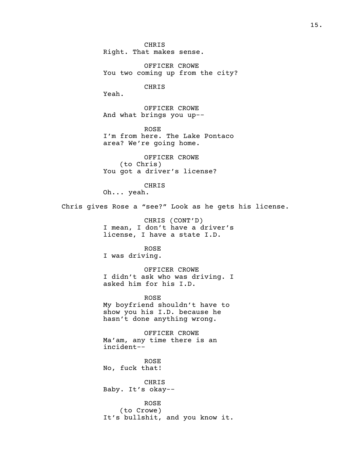CHRIS Right. That makes sense.

OFFICER CROWE You two coming up from the city?

CHRIS

Yeah.

OFFICER CROWE And what brings you up--

ROSE I'm from here. The Lake Pontaco area? We're going home.

OFFICER CROWE (to Chris) You got a driver's license?

CHRIS

Oh... yeah.

Chris gives Rose a "see?" Look as he gets his license.

CHRIS (CONT'D) I mean, I don't have a driver's license, I have a state I.D.

ROSE

I was driving.

OFFICER CROWE I didn't ask who was driving. I asked him for his I.D.

ROSE My boyfriend shouldn't have to show you his I.D. because he hasn't done anything wrong.

OFFICER CROWE Ma'am, any time there is an incident--

ROSE No, fuck that!

CHRIS Baby. It's okay--

ROSE (to Crowe) It's bullshit, and you know it.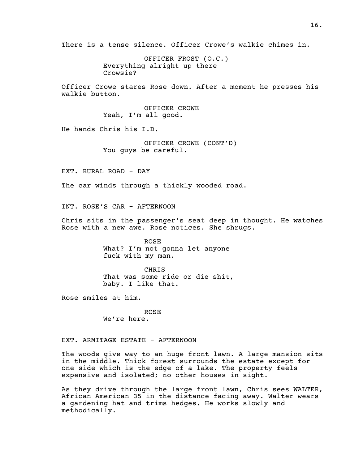There is a tense silence. Officer Crowe's walkie chimes in.

OFFICER FROST (O.C.) Everything alright up there Crowsie?

Officer Crowe stares Rose down. After a moment he presses his walkie button.

> OFFICER CROWE Yeah, I'm all good.

He hands Chris his I.D.

OFFICER CROWE (CONT'D) You guys be careful.

EXT. RURAL ROAD - DAY

The car winds through a thickly wooded road.

INT. ROSE'S CAR - AFTERNOON

Chris sits in the passenger's seat deep in thought. He watches Rose with a new awe. Rose notices. She shrugs.

> ROSE What? I'm not gonna let anyone fuck with my man.

CHRIS That was some ride or die shit, baby. I like that.

Rose smiles at him.

ROSE We're here.

EXT. ARMITAGE ESTATE - AFTERNOON

The woods give way to an huge front lawn. A large mansion sits in the middle. Thick forest surrounds the estate except for one side which is the edge of a lake. The property feels expensive and isolated; no other houses in sight.

As they drive through the large front lawn, Chris sees WALTER, African American 35 in the distance facing away. Walter wears a gardening hat and trims hedges. He works slowly and methodically.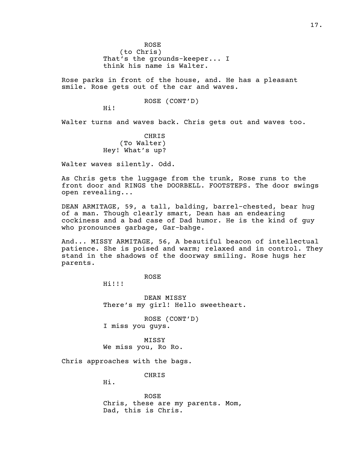ROSE (to Chris) That's the grounds-keeper... I think his name is Walter.

Rose parks in front of the house, and. He has a pleasant smile. Rose gets out of the car and waves.

# ROSE (CONT'D)

Hi!

Walter turns and waves back. Chris gets out and waves too.

CHRIS (To Walter) Hey! What's up?

Walter waves silently. Odd.

As Chris gets the luggage from the trunk, Rose runs to the front door and RINGS the DOORBELL. FOOTSTEPS. The door swings open revealing...

DEAN ARMITAGE, 59, a tall, balding, barrel-chested, bear hug of a man. Though clearly smart, Dean has an endearing cockiness and a bad case of Dad humor. He is the kind of guy who pronounces garbage, Gar-bahge.

And... MISSY ARMITAGE, 56, A beautiful beacon of intellectual patience. She is poised and warm; relaxed and in control. They stand in the shadows of the doorway smiling. Rose hugs her parents.

ROSE

Hi!!!

DEAN MISSY There's my girl! Hello sweetheart.

ROSE (CONT'D) I miss you guys.

MISSY We miss you, Ro Ro.

Chris approaches with the bags.

CHRIS

Hi.

ROSE Chris, these are my parents. Mom, Dad, this is Chris.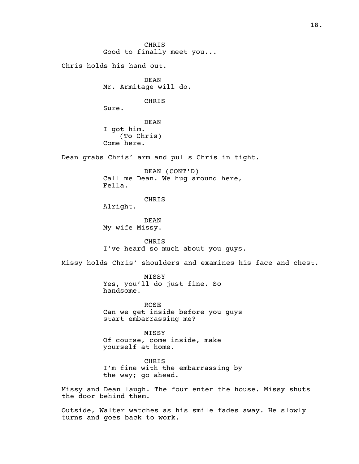CHRIS Good to finally meet you... Chris holds his hand out. DEAN Mr. Armitage will do. CHRIS Sure. DEAN I got him. (To Chris) Come here. Dean grabs Chris' arm and pulls Chris in tight. DEAN (CONT'D) Call me Dean. We hug around here, Fella. CHRIS Alright. DEAN My wife Missy. CHRIS I've heard so much about you guys. Missy holds Chris' shoulders and examines his face and chest. MISSY Yes, you'll do just fine. So handsome. ROSE Can we get inside before you guys start embarrassing me? MISSY Of course, come inside, make yourself at home. CHRIS I'm fine with the embarrassing by the way; go ahead. Missy and Dean laugh. The four enter the house. Missy shuts the door behind them. Outside, Walter watches as his smile fades away. He slowly turns and goes back to work.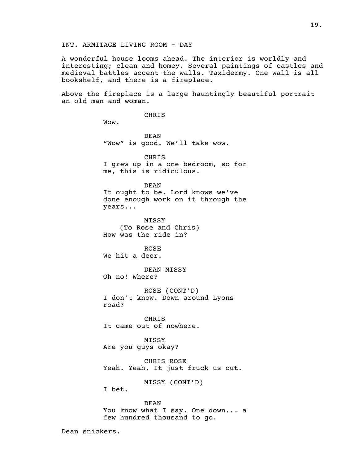A wonderful house looms ahead. The interior is worldly and interesting; clean and homey. Several paintings of castles and medieval battles accent the walls. Taxidermy. One wall is all bookshelf, and there is a fireplace.

Above the fireplace is a large hauntingly beautiful portrait an old man and woman.

CHRIS

Wow.

DEAN "Wow" is good. We'll take wow.

CHRIS I grew up in a one bedroom, so for me, this is ridiculous.

DEAN It ought to be. Lord knows we've done enough work on it through the years...

MISSY (To Rose and Chris) How was the ride in?

ROSE We hit a deer.

DEAN MISSY Oh no! Where?

ROSE (CONT'D) I don't know. Down around Lyons road?

CHRIS It came out of nowhere.

MISSY Are you guys okay?

CHRIS ROSE Yeah. Yeah. It just fruck us out.

MISSY (CONT'D)

I bet.

DEAN You know what I say. One down... a few hundred thousand to go.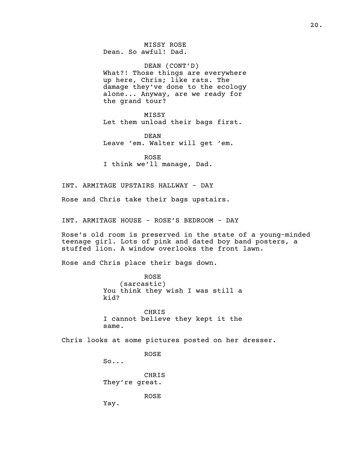MISSY ROSE Dean. So awful! Dad.

DEAN (CONT'D) What?! Those things are everywhere up here, Chris; like rats. The damage they've done to the ecology alone... Anyway, are we ready for the grand tour?

MISSY Let them unload their bags first.

DEAN Leave 'em. Walter will get 'em.

ROSE I think we'll manage, Dad.

INT. ARMITAGE UPSTAIRS HALLWAY - DAY

Rose and Chris take their bags upstairs.

INT. ARMITAGE HOUSE - ROSE'S BEDROOM - DAY

Rose's old room is preserved in the state of a young-minded teenage girl. Lots of pink and dated boy band posters, a stuffed lion. A window overlooks the front lawn.

Rose and Chris place their bags down.

ROSE (sarcastic) You think they wish I was still a kid?

CHRIS I cannot believe they kept it the same.

Chris looks at some pictures posted on her dresser.

ROSE

So...

CHRIS They're great.

ROSE

Yay.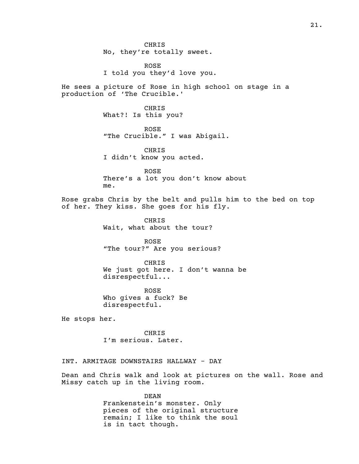CHRIS No, they're totally sweet.

ROSE I told you they'd love you.

He sees a picture of Rose in high school on stage in a production of 'The Crucible.'

> CHRIS What?! Is this you?

ROSE "The Crucible." I was Abigail.

CHRIS I didn't know you acted.

ROSE There's a lot you don't know about me.

Rose grabs Chris by the belt and pulls him to the bed on top of her. They kiss. She goes for his fly.

> CHRIS Wait, what about the tour?

ROSE "The tour?" Are you serious?

CHRIS We just got here. I don't wanna be disrespectful...

ROSE Who gives a fuck? Be disrespectful.

He stops her.

CHRIS I'm serious. Later.

INT. ARMITAGE DOWNSTAIRS HALLWAY - DAY

Dean and Chris walk and look at pictures on the wall. Rose and Missy catch up in the living room.

> DEAN Frankenstein's monster. Only pieces of the original structure remain; I like to think the soul is in tact though.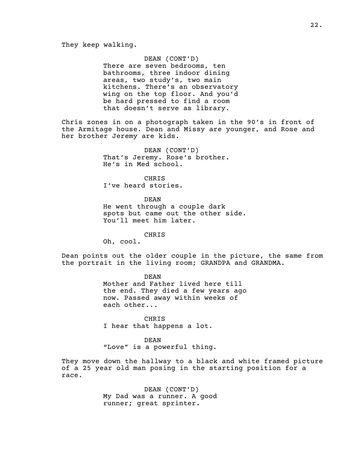### DEAN (CONT'D)

There are seven bedrooms, ten bathrooms, three indoor dining areas, two study's, two main kitchens. There's an observatory wing on the top floor. And you'd be hard pressed to find a room that doesn't serve as library.

Chris zones in on a photograph taken in the 90's in front of the Armitage house. Dean and Missy are younger, and Rose and her brother Jeremy are kids.

> DEAN (CONT'D) That's Jeremy. Rose's brother. He's in Med school.

CHRIS I've heard stories.

DEAN He went through a couple dark spots but came out the other side. You'll meet him later.

CHRIS

Oh, cool.

Dean points out the older couple in the picture, the same from the portrait in the living room; GRANDPA and GRANDMA.

> DEAN Mother and Father lived here till the end. They died a few years ago now. Passed away within weeks of each other...

CHRIS I hear that happens a lot.

DEAN "Love" is a powerful thing.

They move down the hallway to a black and white framed picture of a 25 year old man posing in the starting position for a race.

> DEAN (CONT'D) My Dad was a runner. A good runner; great sprinter.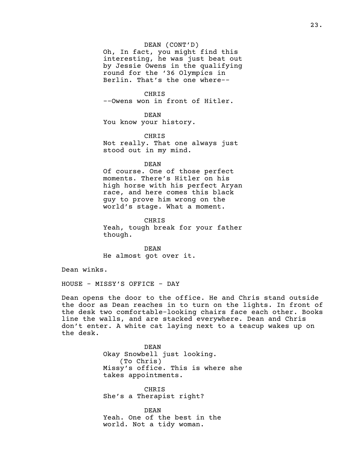# DEAN (CONT'D)

Oh, In fact, you might find this interesting, he was just beat out by Jessie Owens in the qualifying round for the '36 Olympics in Berlin. That's the one where--

CHRIS --Owens won in front of Hitler.

DEAN You know your history.

CHRIS Not really. That one always just stood out in my mind.

### DEAN

Of course. One of those perfect moments. There's Hitler on his high horse with his perfect Aryan race, and here comes this black guy to prove him wrong on the world's stage. What a moment.

CHRIS Yeah, tough break for your father though.

DEAN He almost got over it.

Dean winks.

HOUSE - MISSY'S OFFICE - DAY

Dean opens the door to the office. He and Chris stand outside the door as Dean reaches in to turn on the lights. In front of the desk two comfortable-looking chairs face each other. Books line the walls, and are stacked everywhere. Dean and Chris don't enter. A white cat laying next to a teacup wakes up on the desk.

> DEAN Okay Snowbell just looking. (To Chris) Missy's office. This is where she takes appointments.

CHRIS She's a Therapist right?

DEAN Yeah. One of the best in the world. Not a tidy woman.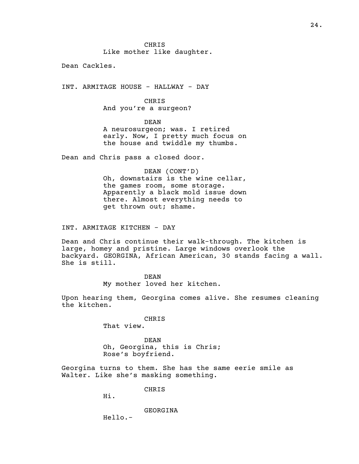CHRIS Like mother like daughter.

Dean Cackles.

INT. ARMITAGE HOUSE - HALLWAY - DAY

CHRIS And you're a surgeon?

DEAN A neurosurgeon; was. I retired early. Now, I pretty much focus on the house and twiddle my thumbs.

Dean and Chris pass a closed door.

DEAN (CONT'D) Oh, downstairs is the wine cellar, the games room, some storage. Apparently a black mold issue down there. Almost everything needs to get thrown out; shame.

INT. ARMITAGE KITCHEN - DAY

Dean and Chris continue their walk-through. The kitchen is large, homey and pristine. Large windows overlook the backyard. GEORGINA, African American, 30 stands facing a wall. She is still.

> DEAN My mother loved her kitchen.

Upon hearing them, Georgina comes alive. She resumes cleaning the kitchen.

> CHRIS That view.

DEAN Oh, Georgina, this is Chris; Rose's boyfriend.

Georgina turns to them. She has the same eerie smile as Walter. Like she's masking something.

CHRIS

Hi.

GEORGINA

Hello.-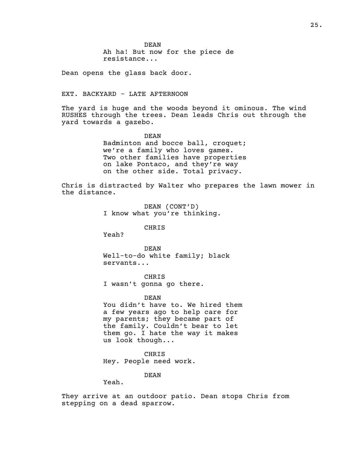DEAN Ah ha! But now for the piece de resistance...

Dean opens the glass back door.

### EXT. BACKYARD - LATE AFTERNOON

The yard is huge and the woods beyond it ominous. The wind RUSHES through the trees. Dean leads Chris out through the yard towards a gazebo.

> DEAN Badminton and bocce ball, croquet; we're a family who loves games. Two other families have properties on lake Pontaco, and they're way on the other side. Total privacy.

Chris is distracted by Walter who prepares the lawn mower in the distance.

> DEAN (CONT'D) I know what you're thinking.

> > CHRIS

Yeah?

DEAN Well-to-do white family; black servants...

CHRIS I wasn't gonna go there.

DEAN

You didn't have to. We hired them a few years ago to help care for my parents; they became part of the family. Couldn't bear to let them go. I hate the way it makes us look though...

CHRIS Hey. People need work.

DEAN

Yeah.

They arrive at an outdoor patio. Dean stops Chris from stepping on a dead sparrow.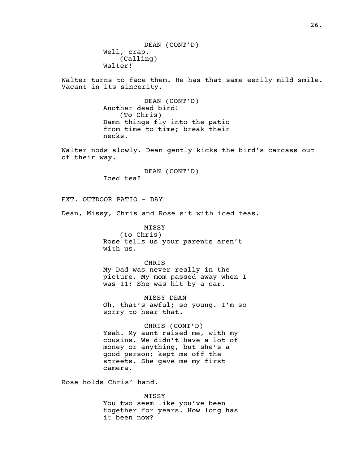DEAN (CONT'D) Well, crap. (Calling) Walter!

Walter turns to face them. He has that same eerily mild smile. Vacant in its sincerity.

> DEAN (CONT'D) Another dead bird! (To Chris) Damn things fly into the patio from time to time; break their necks.

Walter nods slowly. Dean gently kicks the bird's carcass out of their way.

> DEAN (CONT'D) Iced tea?

EXT. OUTDOOR PATIO - DAY

Dean, Missy, Chris and Rose sit with iced teas.

MISSY (to Chris) Rose tells us your parents aren't with us.

CHRIS My Dad was never really in the picture. My mom passed away when I was 11; She was hit by a car.

MISSY DEAN Oh, that's awful; so young. I'm so sorry to hear that.

CHRIS (CONT'D) Yeah. My aunt raised me, with my cousins. We didn't have a lot of money or anything, but she's a good person; kept me off the streets. She gave me my first camera.

Rose holds Chris' hand.

MISSY You two seem like you've been together for years. How long has it been now?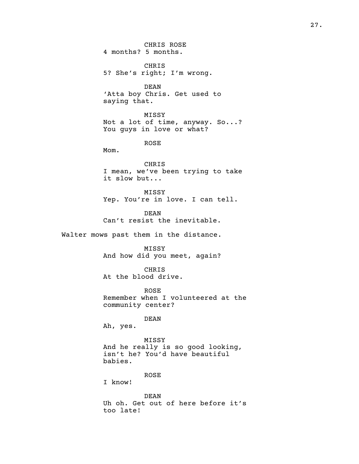CHRIS ROSE 4 months? 5 months.

CHRIS 5? She's right; I'm wrong.

DEAN 'Atta boy Chris. Get used to saying that.

MISSY Not a lot of time, anyway. So...? You guys in love or what?

ROSE

Mom.

CHRIS I mean, we've been trying to take it slow but...

MISSY Yep. You're in love. I can tell.

DEAN Can't resist the inevitable.

Walter mows past them in the distance.

MISSY And how did you meet, again?

CHRIS At the blood drive.

ROSE Remember when I volunteered at the community center?

DEAN

Ah, yes.

MISSY And he really is so good looking, isn't he? You'd have beautiful babies.

ROSE

I know!

DEAN Uh oh. Get out of here before it's too late!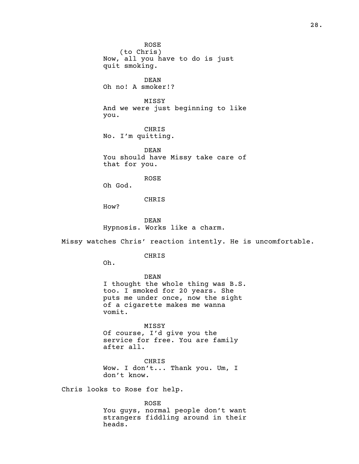(to Chris) Now, all you have to do is just quit smoking. DEAN Oh no! A smoker!? MISSY And we were just beginning to like you. CHRIS No. I'm quitting. DEAN You should have Missy take care of that for you. ROSE Oh God.

CHRIS

ROSE

How?

DEAN Hypnosis. Works like a charm.

Missy watches Chris' reaction intently. He is uncomfortable.

CHRIS

Oh.

DEAN I thought the whole thing was B.S. too. I smoked for 20 years. She puts me under once, now the sight of a cigarette makes me wanna vomit.

MISSY Of course, I'd give you the service for free. You are family after all.

CHRIS Wow. I don't... Thank you. Um, I don't know.

Chris looks to Rose for help.

ROSE You guys, normal people don't want strangers fiddling around in their heads.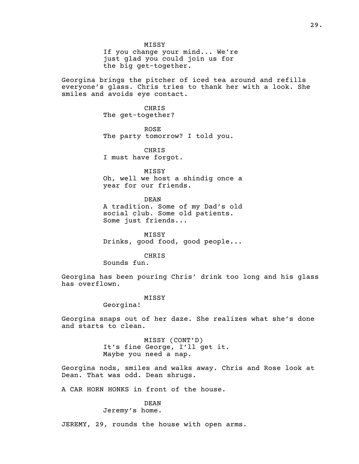MISSY If you change your mind... We're just glad you could join us for the big get-together.

Georgina brings the pitcher of iced tea around and refills everyone's glass. Chris tries to thank her with a look. She smiles and avoids eye contact.

> CHRIS The get-together?

ROSE The party tomorrow? I told you.

CHRIS I must have forgot.

MISSY Oh, well we host a shindig once a year for our friends.

DEAN A tradition. Some of my Dad's old social club. Some old patients. Some just friends...

MISSY Drinks, good food, good people...

CHRIS

Sounds fun.

Georgina has been pouring Chris' drink too long and his glass has overflown.

#### MISSY

Georgina!

Georgina snaps out of her daze. She realizes what she's done and starts to clean.

> MISSY (CONT'D) It's fine George, I'll get it. Maybe you need a nap.

Georgina nods, smiles and walks away. Chris and Rose look at Dean. That was odd. Dean shrugs.

A CAR HORN HONKS in front of the house.

### DEAN

Jeremy's home.

JEREMY, 29, rounds the house with open arms.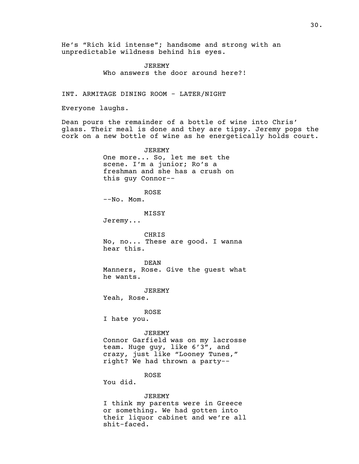He's "Rich kid intense"; handsome and strong with an unpredictable wildness behind his eyes.

> JEREMY Who answers the door around here?!

INT. ARMITAGE DINING ROOM - LATER/NIGHT

Everyone laughs.

Dean pours the remainder of a bottle of wine into Chris' glass. Their meal is done and they are tipsy. Jeremy pops the cork on a new bottle of wine as he energetically holds court.

> JEREMY One more... So, let me set the scene. I'm a junior; Ro's a freshman and she has a crush on this guy Connor--

ROSE --No. Mom.

MISSY

Jeremy...

CHRIS No, no... These are good. I wanna hear this.

DEAN Manners, Rose. Give the guest what he wants.

JEREMY

Yeah, Rose.

ROSE

I hate you.

JEREMY

Connor Garfield was on my lacrosse team. Huge guy, like 6'3", and crazy, just like "Looney Tunes," right? We had thrown a party--

ROSE

You did.

#### JEREMY

I think my parents were in Greece or something. We had gotten into their liquor cabinet and we're all shit-faced.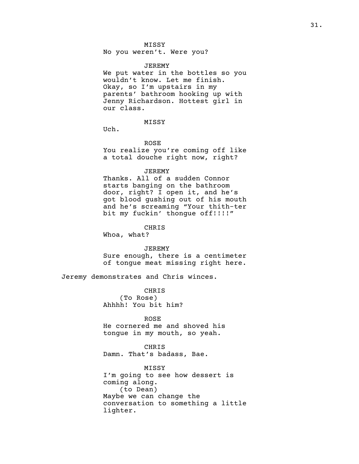# MISSY

No you weren't. Were you?

#### JEREMY

We put water in the bottles so you wouldn't know. Let me finish. Okay, so I'm upstairs in my parents' bathroom hooking up with Jenny Richardson. Hottest girl in our class.

# MISSY

Uch.

ROSE

You realize you're coming off like a total douche right now, right?

### JEREMY

Thanks. All of a sudden Connor starts banging on the bathroom door, right? I open it, and he's got blood gushing out of his mouth and he's screaming "Your thith-ter bit my fuckin' thongue off!!!!!"

CHRIS

Whoa, what?

JEREMY

Sure enough, there is a centimeter of tongue meat missing right here.

Jeremy demonstrates and Chris winces.

CHRIS (To Rose) Ahhhh! You bit him?

ROSE He cornered me and shoved his tongue in my mouth, so yeah.

CHRIS Damn. That's badass, Bae.

# MISSY

I'm going to see how dessert is coming along. (to Dean) Maybe we can change the conversation to something a little lighter.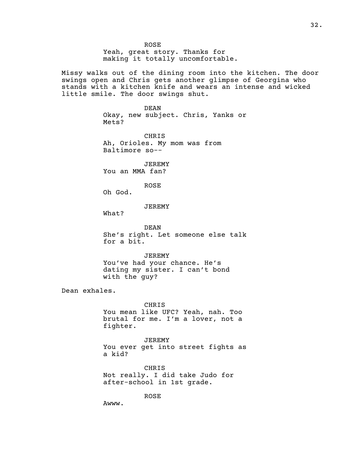ROSE Yeah, great story. Thanks for making it totally uncomfortable.

Missy walks out of the dining room into the kitchen. The door swings open and Chris gets another glimpse of Georgina who stands with a kitchen knife and wears an intense and wicked little smile. The door swings shut.

> DEAN Okay, new subject. Chris, Yanks or Mets?

CHRIS Ah, Orioles. My mom was from Baltimore so--

JEREMY You an MMA fan?

ROSE

Oh God.

JEREMY

What?

DEAN She's right. Let someone else talk for a bit.

JEREMY You've had your chance. He's dating my sister. I can't bond with the guy?

Dean exhales.

CHRIS You mean like UFC? Yeah, nah. Too brutal for me. I'm a lover, not a fighter.

JEREMY You ever get into street fights as a kid?

CHRIS Not really. I did take Judo for after-school in 1st grade.

ROSE

Awww.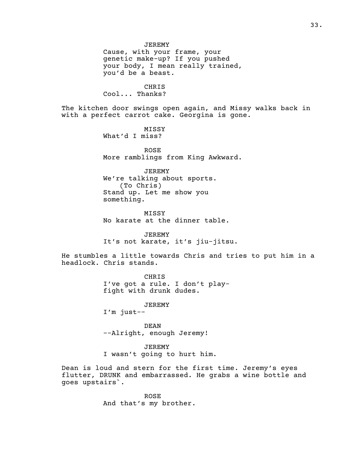CHRIS Cool... Thanks?

The kitchen door swings open again, and Missy walks back in with a perfect carrot cake. Georgina is gone.

> MISSY What'd I miss?

ROSE More ramblings from King Awkward.

JEREMY We're talking about sports. (To Chris) Stand up. Let me show you something.

MISSY No karate at the dinner table.

JEREMY It's not karate, it's jiu-jitsu.

He stumbles a little towards Chris and tries to put him in a headlock. Chris stands.

> CHRIS I've got a rule. I don't playfight with drunk dudes.

> > JEREMY

I'm just--

DEAN --Alright, enough Jeremy!

JEREMY I wasn't going to hurt him.

Dean is loud and stern for the first time. Jeremy's eyes flutter, DRUNK and embarrassed. He grabs a wine bottle and goes upstairs`.

> ROSE And that's my brother.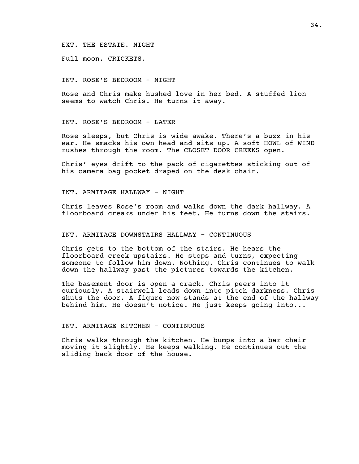### EXT. THE ESTATE. NIGHT

Full moon. CRICKETS.

# INT. ROSE'S BEDROOM - NIGHT

Rose and Chris make hushed love in her bed. A stuffed lion seems to watch Chris. He turns it away.

### INT. ROSE'S BEDROOM - LATER

Rose sleeps, but Chris is wide awake. There's a buzz in his ear. He smacks his own head and sits up. A soft HOWL of WIND rushes through the room. The CLOSET DOOR CREEKS open.

Chris' eyes drift to the pack of cigarettes sticking out of his camera bag pocket draped on the desk chair.

INT. ARMITAGE HALLWAY - NIGHT

Chris leaves Rose's room and walks down the dark hallway. A floorboard creaks under his feet. He turns down the stairs.

### INT. ARMITAGE DOWNSTAIRS HALLWAY - CONTINUOUS

Chris gets to the bottom of the stairs. He hears the floorboard creek upstairs. He stops and turns, expecting someone to follow him down. Nothing. Chris continues to walk down the hallway past the pictures towards the kitchen.

The basement door is open a crack. Chris peers into it curiously. A stairwell leads down into pitch darkness. Chris shuts the door. A figure now stands at the end of the hallway behind him. He doesn't notice. He just keeps going into...

#### INT. ARMITAGE KITCHEN - CONTINUOUS

Chris walks through the kitchen. He bumps into a bar chair moving it slightly. He keeps walking. He continues out the sliding back door of the house.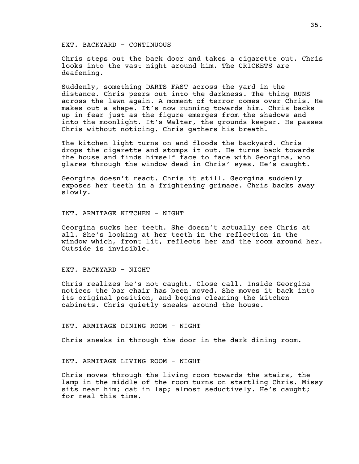### EXT. BACKYARD - CONTINUOUS

Chris steps out the back door and takes a cigarette out. Chris looks into the vast night around him. The CRICKETS are deafening.

Suddenly, something DARTS FAST across the yard in the distance. Chris peers out into the darkness. The thing RUNS across the lawn again. A moment of terror comes over Chris. He makes out a shape. It's now running towards him. Chris backs up in fear just as the figure emerges from the shadows and into the moonlight. It's Walter, the grounds keeper. He passes Chris without noticing. Chris gathers his breath.

The kitchen light turns on and floods the backyard. Chris drops the cigarette and stomps it out. He turns back towards the house and finds himself face to face with Georgina, who glares through the window dead in Chris' eyes. He's caught.

Georgina doesn't react. Chris it still. Georgina suddenly exposes her teeth in a frightening grimace. Chris backs away slowly.

INT. ARMITAGE KITCHEN - NIGHT

Georgina sucks her teeth. She doesn't actually see Chris at all. She's looking at her teeth in the reflection in the window which, front lit, reflects her and the room around her. Outside is invisible.

# EXT. BACKYARD - NIGHT

Chris realizes he's not caught. Close call. Inside Georgina notices the bar chair has been moved. She moves it back into its original position, and begins cleaning the kitchen cabinets. Chris quietly sneaks around the house.

INT. ARMITAGE DINING ROOM - NIGHT

Chris sneaks in through the door in the dark dining room.

INT. ARMITAGE LIVING ROOM - NIGHT

Chris moves through the living room towards the stairs, the lamp in the middle of the room turns on startling Chris. Missy sits near him; cat in lap; almost seductively. He's caught; for real this time.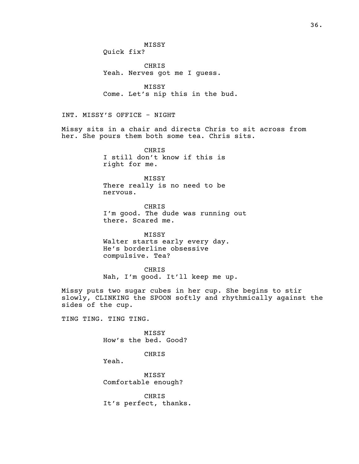MISSY Quick fix?

CHRIS Yeah. Nerves got me I guess.

MISSY Come. Let's nip this in the bud.

INT. MISSY'S OFFICE - NIGHT

Missy sits in a chair and directs Chris to sit across from her. She pours them both some tea. Chris sits.

> CHRIS I still don't know if this is right for me.

> MISSY There really is no need to be nervous.

CHRIS I'm good. The dude was running out there. Scared me.

MISSY Walter starts early every day. He's borderline obsessive compulsive. Tea?

CHRIS Nah, I'm good. It'll keep me up.

Missy puts two sugar cubes in her cup. She begins to stir slowly, CLINKING the SPOON softly and rhythmically against the sides of the cup.

TING TING. TING TING.

MISSY How's the bed. Good?

CHRIS

Yeah.

MISSY Comfortable enough?

CHRIS It's perfect, thanks.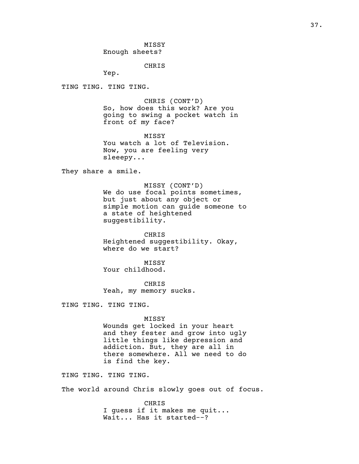MISSY Enough sheets?

CHRIS

Yep.

TING TING. TING TING.

CHRIS (CONT'D) So, how does this work? Are you going to swing a pocket watch in front of my face?

MISSY You watch a lot of Television. Now, you are feeling very sleeepy...

They share a smile.

MISSY (CONT'D) We do use focal points sometimes, but just about any object or simple motion can guide someone to a state of heightened suggestibility.

CHRIS Heightened suggestibility. Okay, where do we start?

MISSY Your childhood.

CHRIS Yeah, my memory sucks.

TING TING. TING TING.

MISSY Wounds get locked in your heart and they fester and grow into ugly little things like depression and addiction. But, they are all in there somewhere. All we need to do is find the key.

TING TING. TING TING.

The world around Chris slowly goes out of focus.

CHRIS I guess if it makes me quit... Wait... Has it started--?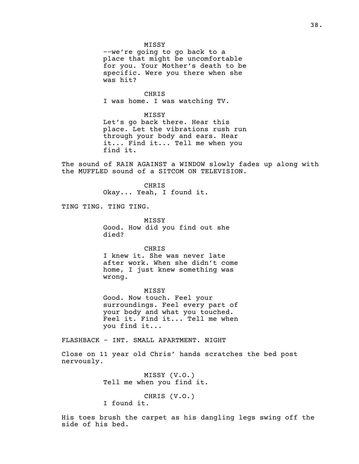#### MISSY

--we're going to go back to a place that might be uncomfortable for you. Your Mother's death to be specific. Were you there when she was hit?

CHRIS

I was home. I was watching TV.

#### MISSY

Let's go back there. Hear this place. Let the vibrations rush run through your body and ears. Hear it... Find it... Tell me when you find it.

The sound of RAIN AGAINST a WINDOW slowly fades up along with the MUFFLED sound of a SITCOM ON TELEVISION.

> CHRIS Okay... Yeah, I found it.

TING TING. TING TING.

MISSY Good. How did you find out she died?

CHRIS I knew it. She was never late after work. When she didn't come home, I just knew something was wrong.

MISSY Good. Now touch. Feel your surroundings. Feel every part of your body and what you touched. Feel it. Find it... Tell me when you find it...

FLASHBACK - INT. SMALL APARTMENT. NIGHT

Close on 11 year old Chris' hands scratches the bed post nervously.

> MISSY (V.O.) Tell me when you find it.

CHRIS (V.O.) I found it.

His toes brush the carpet as his dangling legs swing off the side of his bed.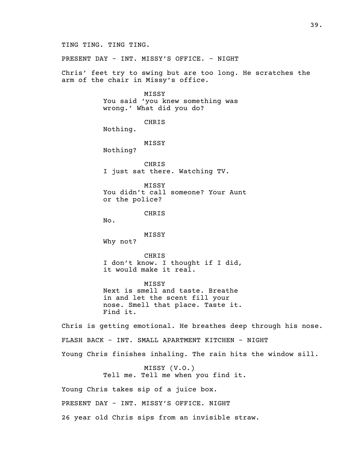TING TING. TING TING.

PRESENT DAY - INT. MISSY'S OFFICE. - NIGHT

Chris' feet try to swing but are too long. He scratches the arm of the chair in Missy's office.

> MISSY You said 'you knew something was wrong.' What did you do?

> > CHRIS

Nothing.

MISSY

Nothing?

CHRIS I just sat there. Watching TV.

MISSY You didn't call someone? Your Aunt or the police?

CHRIS

No.

MISSY

Why not?

CHRIS I don't know. I thought if I did, it would make it real.

MISSY Next is smell and taste. Breathe in and let the scent fill your nose. Smell that place. Taste it. Find it.

Chris is getting emotional. He breathes deep through his nose. FLASH BACK - INT. SMALL APARTMENT KITCHEN - NIGHT Young Chris finishes inhaling. The rain hits the window sill.

> MISSY (V.O.) Tell me. Tell me when you find it.

Young Chris takes sip of a juice box.

PRESENT DAY - INT. MISSY'S OFFICE. NIGHT

26 year old Chris sips from an invisible straw.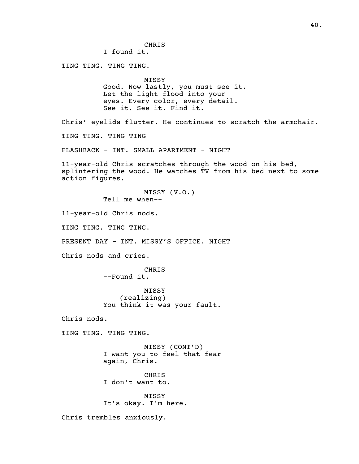CHRIS I found it. TING TING. TING TING. MISSY Good. Now lastly, you must see it. Let the light flood into your eyes. Every color, every detail. See it. See it. Find it. Chris' eyelids flutter. He continues to scratch the armchair. TING TING. TING TING FLASHBACK - INT. SMALL APARTMENT - NIGHT 11-year-old Chris scratches through the wood on his bed, splintering the wood. He watches TV from his bed next to some action figures. MISSY (V.O.) Tell me when-- 11-year-old Chris nods. TING TING. TING TING. PRESENT DAY - INT. MISSY'S OFFICE. NIGHT Chris nods and cries. CHRIS --Found it. MISSY (realizing) You think it was your fault. Chris nods. TING TING. TING TING. MISSY (CONT'D) I want you to feel that fear again, Chris. CHRIS I don't want to. MISSY It's okay. I'm here. Chris trembles anxiously.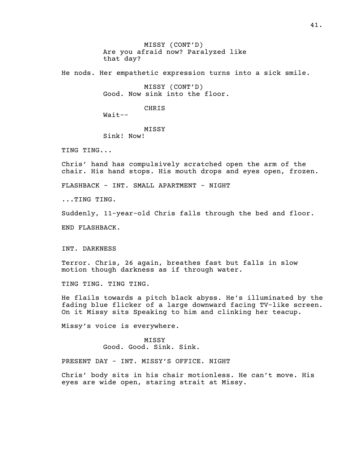MISSY (CONT'D) Are you afraid now? Paralyzed like that day?

He nods. Her empathetic expression turns into a sick smile.

MISSY (CONT'D) Good. Now sink into the floor.

CHRIS

Wait--

MISSY Sink! Now!

TING TING...

Chris' hand has compulsively scratched open the arm of the chair. His hand stops. His mouth drops and eyes open, frozen.

FLASHBACK - INT. SMALL APARTMENT - NIGHT

...TING TING.

Suddenly, 11-year-old Chris falls through the bed and floor.

END FLASHBACK.

INT. DARKNESS

Terror. Chris, 26 again, breathes fast but falls in slow motion though darkness as if through water.

TING TING. TING TING.

He flails towards a pitch black abyss. He's illuminated by the fading blue flicker of a large downward facing TV-like screen. On it Missy sits Speaking to him and clinking her teacup.

Missy's voice is everywhere.

MISSY Good. Good. Sink. Sink.

PRESENT DAY - INT. MISSY'S OFFICE. NIGHT

Chris' body sits in his chair motionless. He can't move. His eyes are wide open, staring strait at Missy.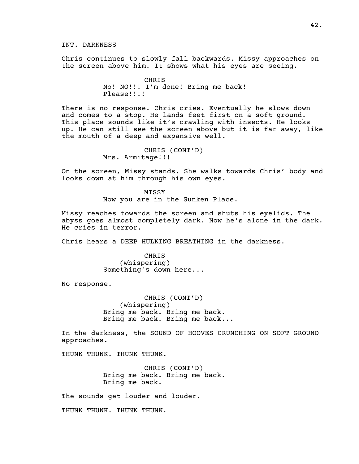INT. DARKNESS

Chris continues to slowly fall backwards. Missy approaches on the screen above him. It shows what his eyes are seeing.

> CHRIS No! NO!!! I'm done! Bring me back! Please!!!!

There is no response. Chris cries. Eventually he slows down and comes to a stop. He lands feet first on a soft ground. This place sounds like it's crawling with insects. He looks up. He can still see the screen above but it is far away, like the mouth of a deep and expansive well.

> CHRIS (CONT'D) Mrs. Armitage!!!

On the screen, Missy stands. She walks towards Chris' body and looks down at him through his own eyes.

> MISSY Now you are in the Sunken Place.

Missy reaches towards the screen and shuts his eyelids. The abyss goes almost completely dark. Now he's alone in the dark. He cries in terror.

Chris hears a DEEP HULKING BREATHING in the darkness.

CHRIS (whispering) Something's down here...

No response.

CHRIS (CONT'D) (whispering) Bring me back. Bring me back. Bring me back. Bring me back...

In the darkness, the SOUND OF HOOVES CRUNCHING ON SOFT GROUND approaches.

THUNK THUNK. THUNK THUNK.

CHRIS (CONT'D) Bring me back. Bring me back. Bring me back.

The sounds get louder and louder.

THUNK THUNK. THUNK THUNK.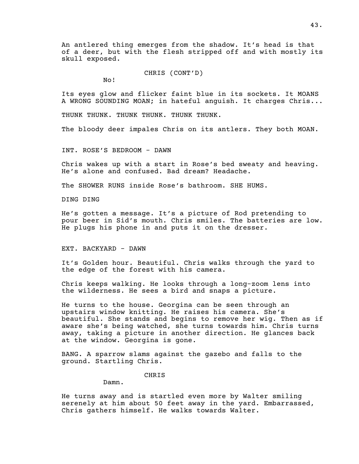An antlered thing emerges from the shadow. It's head is that of a deer, but with the flesh stripped off and with mostly its skull exposed.

CHRIS (CONT'D)

No!

Its eyes glow and flicker faint blue in its sockets. It MOANS A WRONG SOUNDING MOAN; in hateful anguish. It charges Chris...

THUNK THUNK. THUNK THUNK. THUNK THUNK.

The bloody deer impales Chris on its antlers. They both MOAN.

INT. ROSE'S BEDROOM - DAWN

Chris wakes up with a start in Rose's bed sweaty and heaving. He's alone and confused. Bad dream? Headache.

The SHOWER RUNS inside Rose's bathroom. SHE HUMS.

DING DING

He's gotten a message. It's a picture of Rod pretending to pour beer in Sid's mouth. Chris smiles. The batteries are low. He plugs his phone in and puts it on the dresser.

EXT. BACKYARD - DAWN

It's Golden hour. Beautiful. Chris walks through the yard to the edge of the forest with his camera.

Chris keeps walking. He looks through a long-zoom lens into the wilderness. He sees a bird and snaps a picture.

He turns to the house. Georgina can be seen through an upstairs window knitting. He raises his camera. She's beautiful. She stands and begins to remove her wig. Then as if aware she's being watched, she turns towards him. Chris turns away, taking a picture in another direction. He glances back at the window. Georgina is gone.

BANG. A sparrow slams against the gazebo and falls to the ground. Startling Chris.

CHRIS

Damn.

He turns away and is startled even more by Walter smiling serenely at him about 50 feet away in the yard. Embarrassed, Chris gathers himself. He walks towards Walter.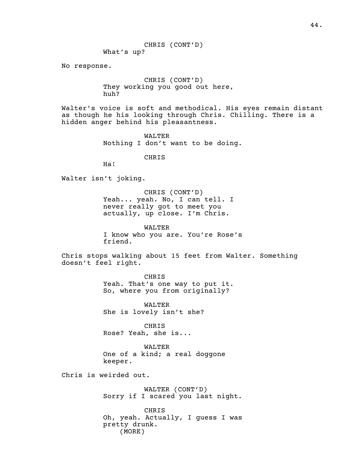CHRIS (CONT'D) What's up?

No response.

CHRIS (CONT'D) They working you good out here, huh?

Walter's voice is soft and methodical. His eyes remain distant as though he his looking through Chris. Chilling. There is a hidden anger behind his pleasantness.

> WALTER Nothing I don't want to be doing.

> > CHRIS

Ha!

Walter isn't joking.

CHRIS (CONT'D) Yeah... yeah. No, I can tell. I never really got to meet you actually, up close. I'm Chris.

WALTER I know who you are. You're Rose's friend.

Chris stops walking about 15 feet from Walter. Something doesn't feel right.

> CHRIS Yeah. That's one way to put it. So, where you from originally?

WALTER She is lovely isn't she?

CHRIS Rose? Yeah, she is...

WALTER One of a kind; a real doggone keeper.

Chris is weirded out.

WALTER (CONT'D) Sorry if I scared you last night.

CHRIS Oh, yeah. Actually, I guess I was pretty drunk. (MORE)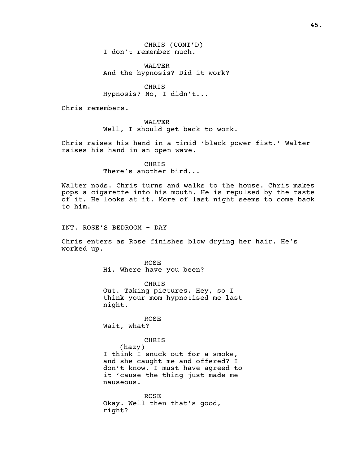CHRIS (CONT'D) I don't remember much.

WALTER And the hypnosis? Did it work?

CHRIS Hypnosis? No, I didn't...

Chris remembers.

WALTER Well, I should get back to work.

Chris raises his hand in a timid 'black power fist.' Walter raises his hand in an open wave.

> **CHRIS** There's another bird...

Walter nods. Chris turns and walks to the house. Chris makes pops a cigarette into his mouth. He is repulsed by the taste of it. He looks at it. More of last night seems to come back to him.

INT. ROSE'S BEDROOM - DAY

Chris enters as Rose finishes blow drying her hair. He's worked up.

> ROSE Hi. Where have you been?

CHRIS Out. Taking pictures. Hey, so I think your mom hypnotised me last night.

ROSE Wait, what?

CHRIS

(hazy) I think I snuck out for a smoke, and she caught me and offered? I don't know. I must have agreed to it 'cause the thing just made me nauseous.

ROSE Okay. Well then that's good, right?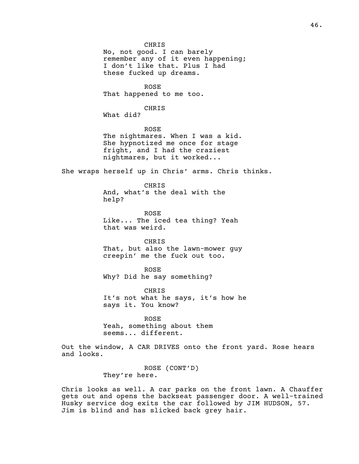CHRIS No, not good. I can barely remember any of it even happening; I don't like that. Plus I had these fucked up dreams.

ROSE That happened to me too.

CHRIS

What did?

ROSE The nightmares. When I was a kid. She hypnotized me once for stage fright, and I had the craziest nightmares, but it worked...

She wraps herself up in Chris' arms. Chris thinks.

CHRIS And, what's the deal with the help?

ROSE Like... The iced tea thing? Yeah that was weird.

CHRIS That, but also the lawn-mower guy creepin' me the fuck out too.

ROSE Why? Did he say something?

CHRIS It's not what he says, it's how he says it. You know?

ROSE Yeah, something about them seems... different.

Out the window, A CAR DRIVES onto the front yard. Rose hears and looks.

> ROSE (CONT'D) They're here.

Chris looks as well. A car parks on the front lawn. A Chauffer gets out and opens the backseat passenger door. A well-trained Husky service dog exits the car followed by JIM HUDSON, 57. Jim is blind and has slicked back grey hair.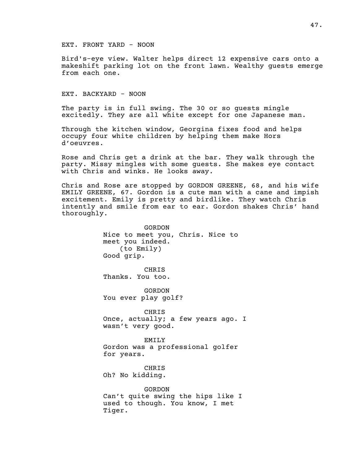# EXT. FRONT YARD - NOON

Bird's-eye view. Walter helps direct 12 expensive cars onto a makeshift parking lot on the front lawn. Wealthy guests emerge from each one.

EXT. BACKYARD - NOON

Tiger.

The party is in full swing. The 30 or so guests mingle excitedly. They are all white except for one Japanese man.

Through the kitchen window, Georgina fixes food and helps occupy four white children by helping them make Hors d'oeuvres.

Rose and Chris get a drink at the bar. They walk through the party. Missy mingles with some guests. She makes eye contact with Chris and winks. He looks away.

Chris and Rose are stopped by GORDON GREENE, 68, and his wife EMILY GREENE, 67. Gordon is a cute man with a cane and impish excitement. Emily is pretty and birdlike. They watch Chris intently and smile from ear to ear. Gordon shakes Chris' hand thoroughly.

> GORDON Nice to meet you, Chris. Nice to meet you indeed. (to Emily) Good grip. CHRIS Thanks. You too. GORDON You ever play golf? CHRIS Once, actually; a few years ago. I wasn't very good. EMILY Gordon was a professional golfer for years. CHRIS Oh? No kidding. GORDON Can't quite swing the hips like I used to though. You know, I met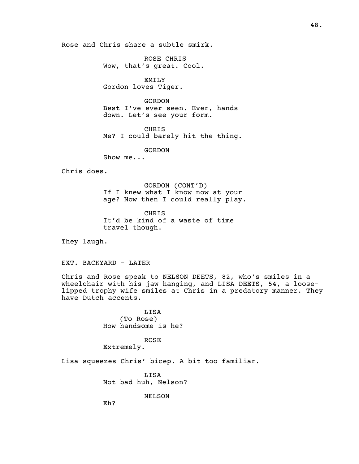Rose and Chris share a subtle smirk.

ROSE CHRIS Wow, that's great. Cool.

EMILY Gordon loves Tiger.

GORDON Best I've ever seen. Ever, hands down. Let's see your form.

CHRIS Me? I could barely hit the thing.

GORDON

Show me...

Chris does.

GORDON (CONT'D) If I knew what I know now at your age? Now then I could really play.

CHRIS It'd be kind of a waste of time travel though.

They laugh.

EXT. BACKYARD - LATER

Chris and Rose speak to NELSON DEETS, 82, who's smiles in a wheelchair with his jaw hanging, and LISA DEETS, 54, a looselipped trophy wife smiles at Chris in a predatory manner. They have Dutch accents.

> LISA (To Rose) How handsome is he?

> > ROSE

Extremely.

Lisa squeezes Chris' bicep. A bit too familiar.

LISA Not bad huh, Nelson?

NELSON

Eh?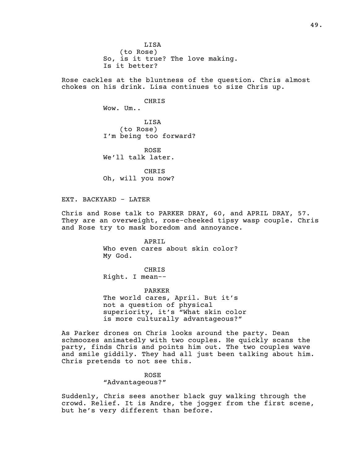LISA (to Rose) So, is it true? The love making. Is it better?

Rose cackles at the bluntness of the question. Chris almost chokes on his drink. Lisa continues to size Chris up.

> CHRIS Wow. Um.. LISA

(to Rose) I'm being too forward?

ROSE We'll talk later.

CHRIS Oh, will you now?

EXT. BACKYARD - LATER

Chris and Rose talk to PARKER DRAY, 60, and APRIL DRAY, 57. They are an overweight, rose-cheeked tipsy wasp couple. Chris and Rose try to mask boredom and annoyance.

> APRIL Who even cares about skin color? My God.

CHRIS Right. I mean--

PARKER The world cares, April. But it's not a question of physical superiority, it's "What skin color

is more culturally advantageous?" As Parker drones on Chris looks around the party. Dean

schmoozes animatedly with two couples. He quickly scans the party, finds Chris and points him out. The two couples wave and smile giddily. They had all just been talking about him. Chris pretends to not see this.

ROSE

"Advantageous?"

Suddenly, Chris sees another black guy walking through the crowd. Relief. It is Andre, the jogger from the first scene, but he's very different than before.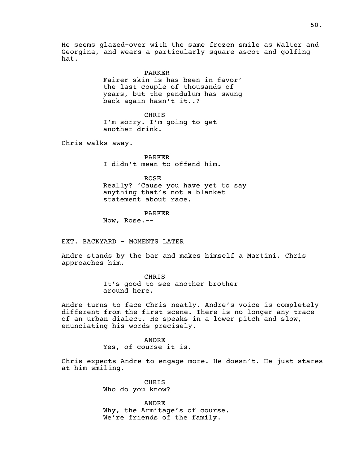He seems glazed-over with the same frozen smile as Walter and Georgina, and wears a particularly square ascot and golfing hat.

> PARKER Fairer skin is has been in favor' the last couple of thousands of years, but the pendulum has swung back again hasn't it..?

CHRIS I'm sorry. I'm going to get another drink.

Chris walks away.

PARKER I didn't mean to offend him.

ROSE Really? 'Cause you have yet to say anything that's not a blanket statement about race.

PARKER

Now, Rose.--

EXT. BACKYARD - MOMENTS LATER

Andre stands by the bar and makes himself a Martini. Chris approaches him.

> CHRIS It's good to see another brother around here.

Andre turns to face Chris neatly. Andre's voice is completely different from the first scene. There is no longer any trace of an urban dialect. He speaks in a lower pitch and slow, enunciating his words precisely.

> ANDRE Yes, of course it is.

Chris expects Andre to engage more. He doesn't. He just stares at him smiling.

> CHRIS Who do you know?

ANDRE Why, the Armitage's of course. We're friends of the family.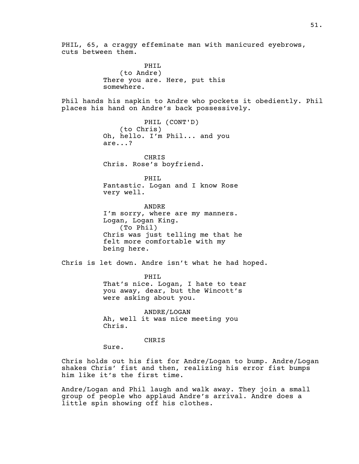PHIL, 65, a craggy effeminate man with manicured eyebrows, cuts between them. PHIL (to Andre) There you are. Here, put this somewhere. Phil hands his napkin to Andre who pockets it obediently. Phil places his hand on Andre's back possessively. PHIL (CONT'D) (to Chris) Oh, hello. I'm Phil... and you are...? CHRIS Chris. Rose's boyfriend. PHIL Fantastic. Logan and I know Rose very well. ANDRE I'm sorry, where are my manners. Logan, Logan King. (To Phil) Chris was just telling me that he felt more comfortable with my being here. Chris is let down. Andre isn't what he had hoped. PHIL That's nice. Logan, I hate to tear you away, dear, but the Wincott's were asking about you. ANDRE/LOGAN Ah, well it was nice meeting you Chris. CHRIS Sure. Chris holds out his fist for Andre/Logan to bump. Andre/Logan shakes Chris' fist and then, realizing his error fist bumps him like it's the first time.

Andre/Logan and Phil laugh and walk away. They join a small group of people who applaud Andre's arrival. Andre does a little spin showing off his clothes.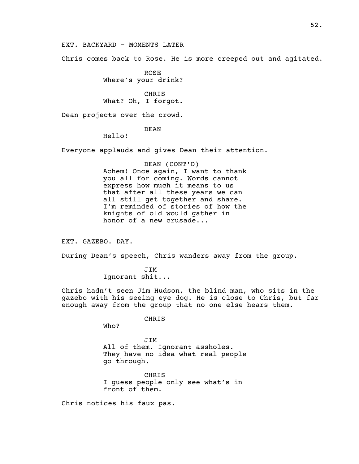EXT. BACKYARD - MOMENTS LATER

Chris comes back to Rose. He is more creeped out and agitated.

ROSE Where's your drink?

CHRIS What? Oh, I forgot.

Dean projects over the crowd.

# DEAN

Hello!

Everyone applauds and gives Dean their attention.

# DEAN (CONT'D) Achem! Once again, I want to thank you all for coming. Words cannot express how much it means to us that after all these years we can all still get together and share. I'm reminded of stories of how the knights of old would gather in honor of a new crusade...

EXT. GAZEBO. DAY.

During Dean's speech, Chris wanders away from the group.

JIM Ignorant shit...

Chris hadn't seen Jim Hudson, the blind man, who sits in the gazebo with his seeing eye dog. He is close to Chris, but far enough away from the group that no one else hears them.

CHRIS

Who?

JIM All of them. Ignorant assholes. They have no idea what real people go through.

CHRIS I guess people only see what's in front of them.

Chris notices his faux pas.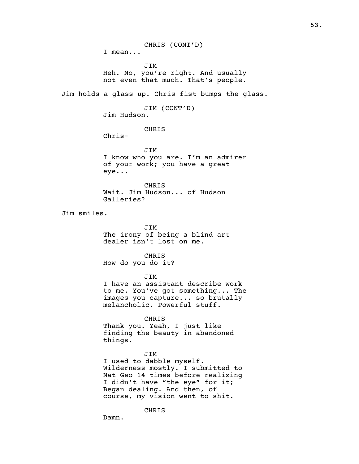CHRIS (CONT'D) I mean... JIM Heh. No, you're right. And usually not even that much. That's people. Jim holds a glass up. Chris fist bumps the glass. JIM (CONT'D) Jim Hudson. CHRIS Chris-JIM I know who you are. I'm an admirer of your work; you have a great eye... CHRIS Wait. Jim Hudson... of Hudson Galleries? Jim smiles. JIM The irony of being a blind art dealer isn't lost on me. CHRIS How do you do it? JIM I have an assistant describe work to me. You've got something... The images you capture... so brutally melancholic. Powerful stuff. CHRIS Thank you. Yeah, I just like finding the beauty in abandoned things. JIM I used to dabble myself. Wilderness mostly. I submitted to Nat Geo 14 times before realizing I didn't have "the eye" for it; Began dealing. And then, of course, my vision went to shit. CHRIS

Damn.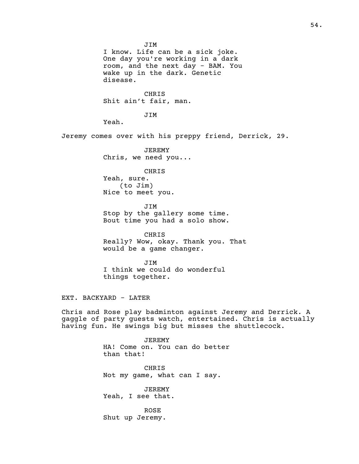JIM I know. Life can be a sick joke. One day you're working in a dark room, and the next day - BAM. You wake up in the dark. Genetic disease. CHRIS Shit ain't fair, man. JIM Yeah. Jeremy comes over with his preppy friend, Derrick, 29. JEREMY Chris, we need you... CHRIS Yeah, sure. (to Jim) Nice to meet you. JIM Stop by the gallery some time. Bout time you had a solo show. CHRIS Really? Wow, okay. Thank you. That would be a game changer. JIM I think we could do wonderful things together. EXT. BACKYARD - LATER Chris and Rose play badminton against Jeremy and Derrick. A gaggle of party guests watch, entertained. Chris is actually having fun. He swings big but misses the shuttlecock. JEREMY HA! Come on. You can do better than that! CHRIS Not my game, what can I say. JEREMY Yeah, I see that.

> ROSE Shut up Jeremy.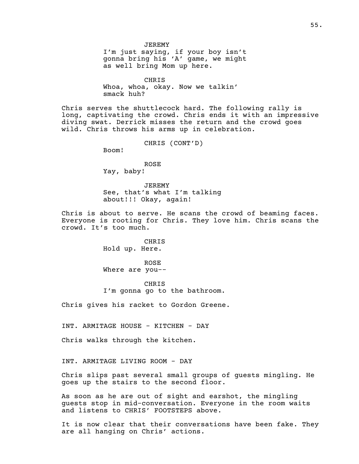JEREMY I'm just saying, if your boy isn't gonna bring his 'A' game, we might as well bring Mom up here.

CHRIS Whoa, whoa, okay. Now we talkin' smack huh?

Chris serves the shuttlecock hard. The following rally is long, captivating the crowd. Chris ends it with an impressive diving swat. Derrick misses the return and the crowd goes wild. Chris throws his arms up in celebration.

CHRIS (CONT'D)

Boom!

ROSE Yay, baby!

JEREMY See, that's what I'm talking about!!! Okay, again!

Chris is about to serve. He scans the crowd of beaming faces. Everyone is rooting for Chris. They love him. Chris scans the crowd. It's too much.

> CHRIS Hold up. Here.

ROSE Where are you--

CHRIS I'm gonna go to the bathroom.

Chris gives his racket to Gordon Greene.

INT. ARMITAGE HOUSE - KITCHEN - DAY

Chris walks through the kitchen.

INT. ARMITAGE LIVING ROOM - DAY

Chris slips past several small groups of guests mingling. He goes up the stairs to the second floor.

As soon as he are out of sight and earshot, the mingling guests stop in mid-conversation. Everyone in the room waits and listens to CHRIS' FOOTSTEPS above.

It is now clear that their conversations have been fake. They are all hanging on Chris' actions.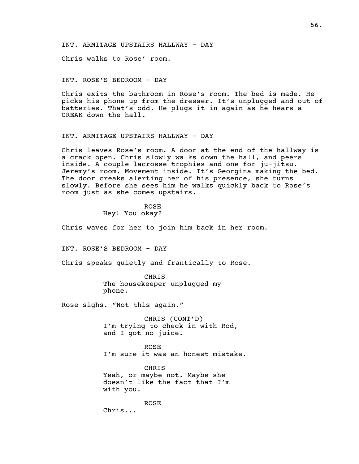INT. ARMITAGE UPSTAIRS HALLWAY - DAY

Chris walks to Rose' room.

### INT. ROSE'S BEDROOM - DAY

Chris exits the bathroom in Rose's room. The bed is made. He picks his phone up from the dresser. It's unplugged and out of batteries. That's odd. He plugs it in again as he hears a CREAK down the hall.

# INT. ARMITAGE UPSTAIRS HALLWAY - DAY

Chris leaves Rose's room. A door at the end of the hallway is a crack open. Chris slowly walks down the hall, and peers inside. A couple lacrosse trophies and one for ju-jitsu. Jeremy's room. Movement inside. It's Georgina making the bed. The door creaks alerting her of his presence, she turns slowly. Before she sees him he walks quickly back to Rose's room just as she comes upstairs.

> ROSE Hey! You okay?

Chris waves for her to join him back in her room.

INT. ROSE'S BEDROOM - DAY

Chris speaks quietly and frantically to Rose.

CHRIS The housekeeper unplugged my phone.

Rose sighs. "Not this again."

CHRIS (CONT'D) I'm trying to check in with Rod, and I got no juice.

ROSE I'm sure it was an honest mistake.

CHRIS Yeah, or maybe not. Maybe she doesn't like the fact that I'm with you.

ROSE Chris...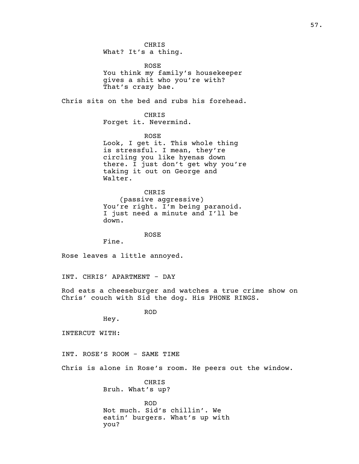What? It's a thing.

ROSE You think my family's housekeeper gives a shit who you're with? That's crazy bae.

Chris sits on the bed and rubs his forehead.

CHRIS Forget it. Nevermind.

ROSE Look, I get it. This whole thing is stressful. I mean, they're circling you like hyenas down there. I just don't get why you're taking it out on George and Walter.

CHRIS (passive aggressive) You're right. I'm being paranoid. I just need a minute and I'll be down.

ROSE

Fine.

Rose leaves a little annoyed.

INT. CHRIS' APARTMENT - DAY

Rod eats a cheeseburger and watches a true crime show on Chris' couch with Sid the dog. His PHONE RINGS.

ROD

Hey.

INTERCUT WITH:

INT. ROSE'S ROOM - SAME TIME

Chris is alone in Rose's room. He peers out the window.

CHRIS Bruh. What's up?

ROD Not much. Sid's chillin'. We eatin' burgers. What's up with you?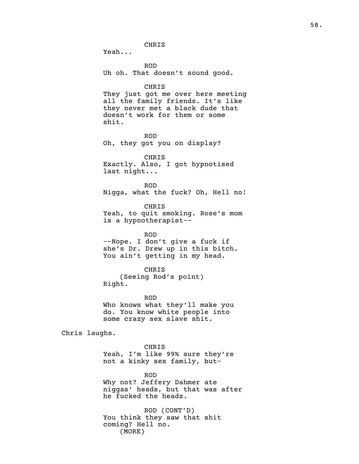CHRIS

Yeah... ROD Uh oh. That doesn't sound good. CHRIS They just got me over here meeting all the family friends. It's like they never met a black dude that doesn't work for them or some shit. ROD Oh, they got you on display? CHRIS Exactly. Also, I got hypnotised last night... ROD Nigga, what the fuck? Oh, Hell no! CHRIS Yeah, to quit smoking. Rose's mom is a hypnotherapist-- ROD

--Nope. I don't give a fuck if she's Dr. Drew up in this bitch. You ain't getting in my head.

CHRIS (Seeing Rod's point) Right.

ROD Who knows what they'll make you do. You know white people into some crazy sex slave shit.

Chris laughs.

CHRIS Yeah, I'm like 99% sure they're not a kinky sex family, but-

ROD Why not? Jeffery Dahmer ate niggas' heads, but that was after he fucked the heads.

ROD (CONT'D) You think they saw that shit coming? Hell no. (MORE)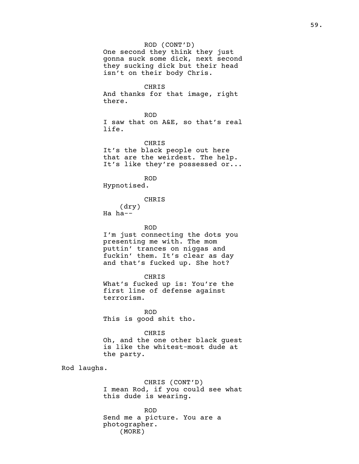One second they think they just gonna suck some dick, next second they sucking dick but their head isn't on their body Chris.

CHRIS

And thanks for that image, right there.

ROD I saw that on A&E, so that's real life.

CHRIS It's the black people out here that are the weirdest. The help. It's like they're possessed or...

ROD Hypnotised.

CHRIS

(dry) Ha ha--

ROD

I'm just connecting the dots you presenting me with. The mom puttin' trances on niggas and fuckin' them. It's clear as day and that's fucked up. She hot?

CHRIS What's fucked up is: You're the first line of defense against terrorism.

ROD This is good shit tho.

CHRIS Oh, and the one other black guest is like the whitest-most dude at the party.

Rod laughs.

CHRIS (CONT'D) I mean Rod, if you could see what this dude is wearing.

ROD Send me a picture. You are a photographer. (MORE)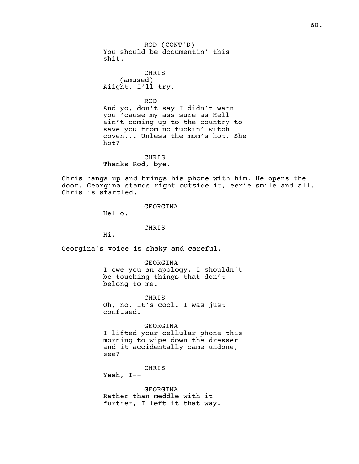ROD (CONT'D) You should be documentin' this shit.

CHRIS (amused) Aiight. I'll try.

ROD

And yo, don't say I didn't warn you 'cause my ass sure as Hell ain't coming up to the country to save you from no fuckin' witch coven... Unless the mom's hot. She hot?

CHRIS Thanks Rod, bye.

Chris hangs up and brings his phone with him. He opens the door. Georgina stands right outside it, eerie smile and all. Chris is startled.

GEORGINA

Hello.

#### CHRIS

Hi.

Georgina's voice is shaky and careful.

GEORGINA I owe you an apology. I shouldn't be touching things that don't belong to me.

CHRIS Oh, no. It's cool. I was just confused.

GEORGINA I lifted your cellular phone this morning to wipe down the dresser and it accidentally came undone, see?

CHRIS

Yeah, I--

GEORGINA Rather than meddle with it further, I left it that way.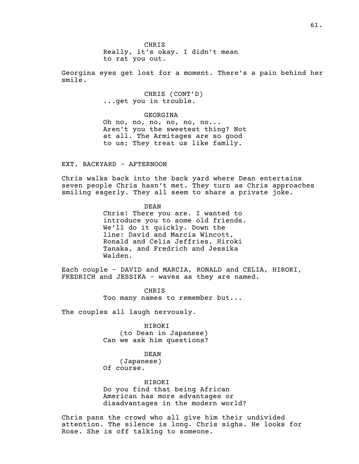CHRIS Really, it's okay. I didn't mean to rat you out.

Georgina eyes get lost for a moment. There's a pain behind her smile.

> CHRIS (CONT'D) ...get you in trouble.

> > GEORGINA

Oh no, no, no, no, no, no... Aren't you the sweetest thing? Not at all. The Armitages are so good to us; They treat us like family.

EXT. BACKYARD - AFTERNOON

Chris walks back into the back yard where Dean entertains seven people Chris hasn't met. They turn as Chris approaches smiling eagerly. They all seem to share a private joke.

> DEAN Chris! There you are. I wanted to introduce you to some old friends. We'll do it quickly. Down the line: David and Marcia Wincott, Ronald and Celia Jeffries, Hiroki Tanaka, and Fredrich and Jessika Walden.

Each couple - DAVID and MARCIA, RONALD and CELIA, HIROKI, FREDRICH and JESSIKA - waves as they are named.

> CHRIS Too many names to remember but...

The couples all laugh nervously.

HIROKI (to Dean in Japanese) Can we ask him questions?

DEAN

(Japanese) Of course.

HIROKI Do you find that being African American has more advantages or disadvantages in the modern world?

Chris pans the crowd who all give him their undivided attention. The silence is long. Chris sighs. He looks for Rose. She is off talking to someone.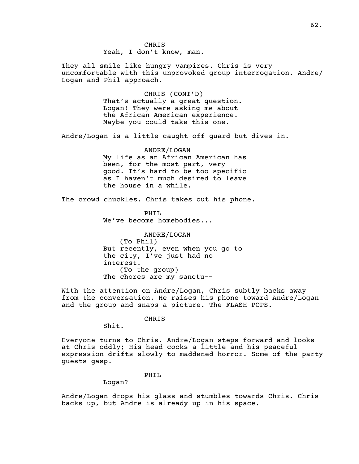They all smile like hungry vampires. Chris is very uncomfortable with this unprovoked group interrogation. Andre/ Logan and Phil approach.

> CHRIS (CONT'D) That's actually a great question. Logan! They were asking me about the African American experience. Maybe you could take this one.

Andre/Logan is a little caught off guard but dives in.

ANDRE/LOGAN My life as an African American has been, for the most part, very good. It's hard to be too specific as I haven't much desired to leave the house in a while.

The crowd chuckles. Chris takes out his phone.

PHIL We've become homebodies...

ANDRE/LOGAN (To Phil) But recently, even when you go to the city, I've just had no interest. (To the group) The chores are my sanctu--

With the attention on Andre/Logan, Chris subtly backs away from the conversation. He raises his phone toward Andre/Logan and the group and snaps a picture. The FLASH POPS.

CHRIS

Shit.

Everyone turns to Chris. Andre/Logan steps forward and looks at Chris oddly; His head cocks a little and his peaceful expression drifts slowly to maddened horror. Some of the party guests gasp.

### PHIL

Logan?

Andre/Logan drops his glass and stumbles towards Chris. Chris backs up, but Andre is already up in his space.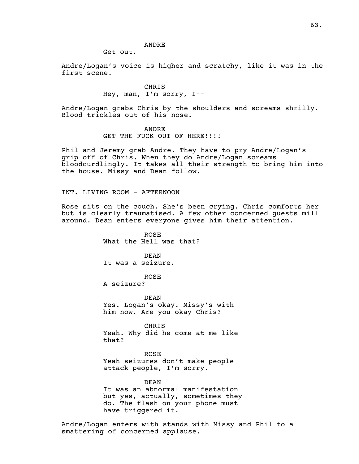# ANDRE

Get out.

Andre/Logan's voice is higher and scratchy, like it was in the first scene.

> CHRIS Hey, man, I'm sorry, I--

Andre/Logan grabs Chris by the shoulders and screams shrilly. Blood trickles out of his nose.

> ANDRE GET THE FUCK OUT OF HERE!!!!

Phil and Jeremy grab Andre. They have to pry Andre/Logan's grip off of Chris. When they do Andre/Logan screams bloodcurdlingly. It takes all their strength to bring him into the house. Missy and Dean follow.

INT. LIVING ROOM - AFTERNOON

Rose sits on the couch. She's been crying. Chris comforts her but is clearly traumatised. A few other concerned guests mill around. Dean enters everyone gives him their attention.

> ROSE What the Hell was that?

DEAN It was a seizure.

ROSE

A seizure?

DEAN Yes. Logan's okay. Missy's with him now. Are you okay Chris?

CHRIS Yeah. Why did he come at me like that?

ROSE Yeah seizures don't make people attack people, I'm sorry.

DEAN It was an abnormal manifestation but yes, actually, sometimes they do. The flash on your phone must have triggered it.

Andre/Logan enters with stands with Missy and Phil to a smattering of concerned applause.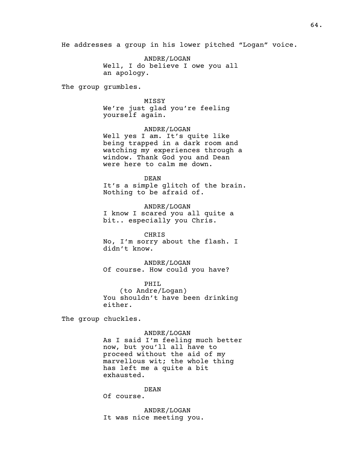He addresses a group in his lower pitched "Logan" voice.

ANDRE/LOGAN Well, I do believe I owe you all an apology.

The group grumbles.

MISSY We're just glad you're feeling yourself again.

ANDRE/LOGAN Well yes I am. It's quite like being trapped in a dark room and watching my experiences through a window. Thank God you and Dean were here to calm me down.

DEAN It's a simple glitch of the brain. Nothing to be afraid of.

ANDRE/LOGAN I know I scared you all quite a bit.. especially you Chris.

CHRIS No, I'm sorry about the flash. I didn't know.

ANDRE/LOGAN Of course. How could you have?

PHIL (to Andre/Logan) You shouldn't have been drinking either.

The group chuckles.

ANDRE/LOGAN As I said I'm feeling much better now, but you'll all have to proceed without the aid of my marvellous wit; the whole thing has left me a quite a bit exhausted.

DEAN

Of course.

ANDRE/LOGAN It was nice meeting you.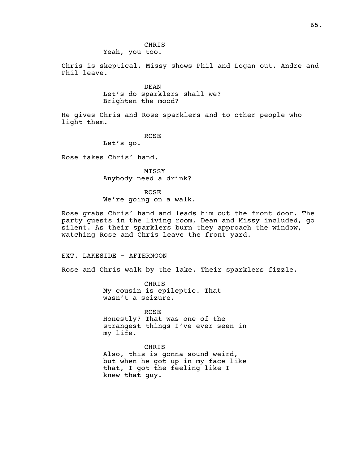# CHRIS Yeah, you too.

Chris is skeptical. Missy shows Phil and Logan out. Andre and Phil leave.

> DEAN Let's do sparklers shall we? Brighten the mood?

He gives Chris and Rose sparklers and to other people who light them.

ROSE

Let's go.

Rose takes Chris' hand.

MISSY Anybody need a drink?

ROSE We're going on a walk.

Rose grabs Chris' hand and leads him out the front door. The party guests in the living room, Dean and Missy included, go silent. As their sparklers burn they approach the window, watching Rose and Chris leave the front yard.

EXT. LAKESIDE - AFTERNOON

Rose and Chris walk by the lake. Their sparklers fizzle.

CHRIS My cousin is epileptic. That wasn't a seizure.

ROSE Honestly? That was one of the strangest things I've ever seen in my life.

# CHRIS

Also, this is gonna sound weird, but when he got up in my face like that, I got the feeling like I knew that guy.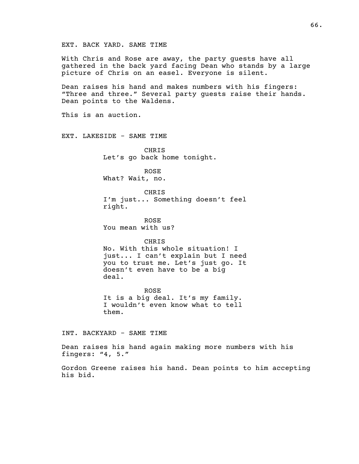EXT. BACK YARD. SAME TIME

With Chris and Rose are away, the party guests have all gathered in the back yard facing Dean who stands by a large picture of Chris on an easel. Everyone is silent.

Dean raises his hand and makes numbers with his fingers: "Three and three." Several party guests raise their hands. Dean points to the Waldens.

This is an auction.

EXT. LAKESIDE - SAME TIME

CHRIS Let's go back home tonight.

ROSE What? Wait, no.

CHRIS I'm just... Something doesn't feel right.

ROSE You mean with us?

CHRIS No. With this whole situation! I just... I can't explain but I need you to trust me. Let's just go. It doesn't even have to be a big deal.

ROSE It is a big deal. It's my family. I wouldn't even know what to tell them.

INT. BACKYARD - SAME TIME

Dean raises his hand again making more numbers with his fingers: "4, 5."

Gordon Greene raises his hand. Dean points to him accepting his bid.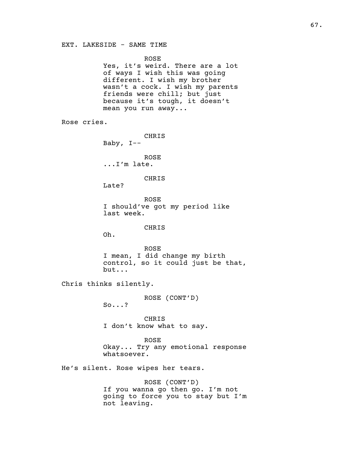ROSE

Yes, it's weird. There are a lot of ways I wish this was going different. I wish my brother wasn't a cock. I wish my parents friends were chill; but just because it's tough, it doesn't mean you run away...

Rose cries.

CHRIS Baby, I-- ROSE

...I'm late.

CHRIS

Late?

ROSE I should've got my period like last week.

### CHRIS

Oh.

ROSE I mean, I did change my birth control, so it could just be that, but...

Chris thinks silently.

ROSE (CONT'D)

So...?

CHRIS I don't know what to say.

ROSE Okay... Try any emotional response whatsoever.

He's silent. Rose wipes her tears.

ROSE (CONT'D) If you wanna go then go. I'm not going to force you to stay but I'm not leaving.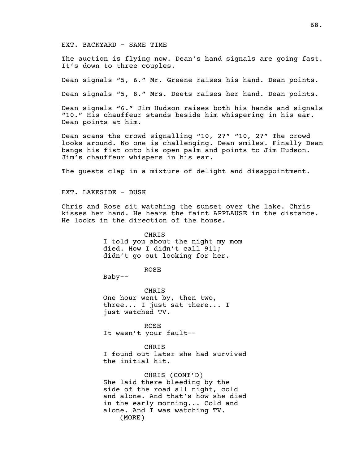# EXT. BACKYARD - SAME TIME

The auction is flying now. Dean's hand signals are going fast. It's down to three couples.

Dean signals "5, 6." Mr. Greene raises his hand. Dean points.

Dean signals "5, 8." Mrs. Deets raises her hand. Dean points.

Dean signals "6." Jim Hudson raises both his hands and signals "10." His chauffeur stands beside him whispering in his ear. Dean points at him.

Dean scans the crowd signalling "10, 2?" "10, 2?" The crowd looks around. No one is challenging. Dean smiles. Finally Dean bangs his fist onto his open palm and points to Jim Hudson. Jim's chauffeur whispers in his ear.

The guests clap in a mixture of delight and disappointment.

EXT. LAKESIDE - DUSK

Chris and Rose sit watching the sunset over the lake. Chris kisses her hand. He hears the faint APPLAUSE in the distance. He looks in the direction of the house.

> CHRIS I told you about the night my mom died. How I didn't call 911; didn't go out looking for her.

> > ROSE

Baby--

CHRIS One hour went by, then two, three... I just sat there... I just watched TV.

ROSE It wasn't your fault--

CHRIS I found out later she had survived the initial hit.

CHRIS (CONT'D) She laid there bleeding by the side of the road all night, cold and alone. And that's how she died in the early morning... Cold and alone. And I was watching TV. (MORE)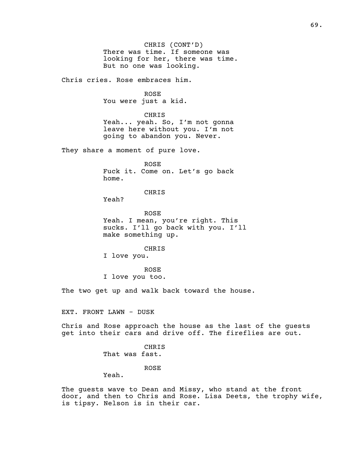CHRIS (CONT'D) There was time. If someone was looking for her, there was time. But no one was looking.

Chris cries. Rose embraces him.

ROSE You were just a kid.

CHRIS Yeah... yeah. So, I'm not gonna leave here without you. I'm not going to abandon you. Never.

They share a moment of pure love.

ROSE Fuck it. Come on. Let's go back home.

CHRIS

Yeah?

ROSE Yeah. I mean, you're right. This sucks. I'll go back with you. I'll make something up.

CHRIS

I love you.

ROSE I love you too.

The two get up and walk back toward the house.

EXT. FRONT LAWN - DUSK

Chris and Rose approach the house as the last of the guests get into their cars and drive off. The fireflies are out.

> CHRIS That was fast.

> > ROSE

Yeah.

The guests wave to Dean and Missy, who stand at the front door, and then to Chris and Rose. Lisa Deets, the trophy wife, is tipsy. Nelson is in their car.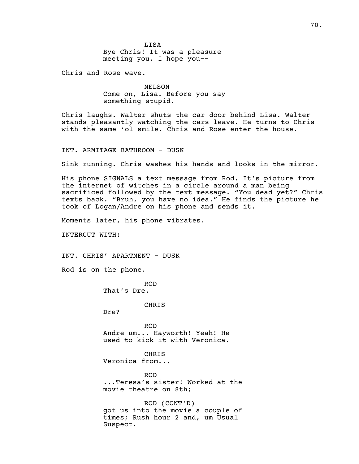LISA Bye Chris! It was a pleasure meeting you. I hope you--

Chris and Rose wave.

NELSON Come on, Lisa. Before you say something stupid.

Chris laughs. Walter shuts the car door behind Lisa. Walter stands pleasantly watching the cars leave. He turns to Chris with the same 'ol smile. Chris and Rose enter the house.

INT. ARMITAGE BATHROOM - DUSK

Sink running. Chris washes his hands and looks in the mirror.

His phone SIGNALS a text message from Rod. It's picture from the internet of witches in a circle around a man being sacrificed followed by the text message. "You dead yet?" Chris texts back. "Bruh, you have no idea." He finds the picture he took of Logan/Andre on his phone and sends it.

Moments later, his phone vibrates.

INTERCUT WITH:

INT. CHRIS' APARTMENT - DUSK

Rod is on the phone.

ROD That's Dre.

CHRIS

Dre?

ROD Andre um... Hayworth! Yeah! He used to kick it with Veronica.

CHRIS Veronica from...

ROD ...Teresa's sister! Worked at the movie theatre on 8th;

ROD (CONT'D) got us into the movie a couple of times; Rush hour 2 and, um Usual Suspect.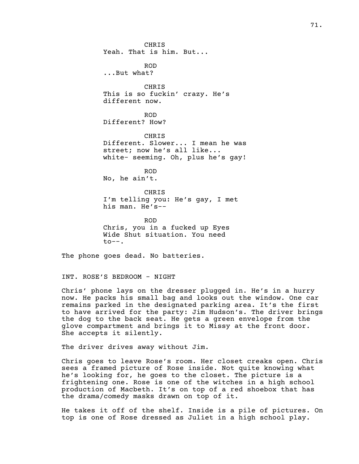CHRIS Yeah. That is him. But... ROD ...But what? CHRIS This is so fuckin' crazy. He's different now. ROD Different? How? CHRIS Different. Slower... I mean he was street; now he's all like... white- seeming. Oh, plus he's gay! ROD No, he ain't. CHRIS I'm telling you: He's gay, I met his man. He's--

ROD Chris, you in a fucked up Eyes Wide Shut situation. You need  $to --.$ 

The phone goes dead. No batteries.

INT. ROSE'S BEDROOM - NIGHT

Chris' phone lays on the dresser plugged in. He's in a hurry now. He packs his small bag and looks out the window. One car remains parked in the designated parking area. It's the first to have arrived for the party: Jim Hudson's. The driver brings the dog to the back seat. He gets a green envelope from the glove compartment and brings it to Missy at the front door. She accepts it silently.

The driver drives away without Jim.

Chris goes to leave Rose's room. Her closet creaks open. Chris sees a framed picture of Rose inside. Not quite knowing what he's looking for, he goes to the closet. The picture is a frightening one. Rose is one of the witches in a high school production of Macbeth. It's on top of a red shoebox that has the drama/comedy masks drawn on top of it.

He takes it off of the shelf. Inside is a pile of pictures. On top is one of Rose dressed as Juliet in a high school play.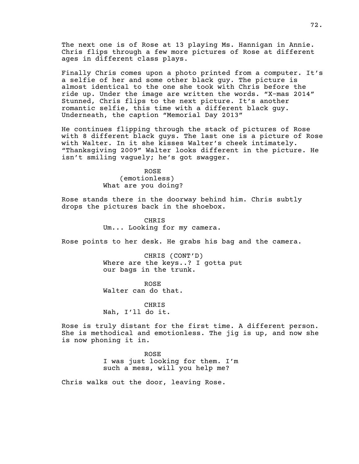The next one is of Rose at 13 playing Ms. Hannigan in Annie. Chris flips through a few more pictures of Rose at different ages in different class plays.

Finally Chris comes upon a photo printed from a computer. It's a selfie of her and some other black guy. The picture is almost identical to the one she took with Chris before the ride up. Under the image are written the words. "X-mas 2014" Stunned, Chris flips to the next picture. It's another romantic selfie, this time with a different black guy. Underneath, the caption "Memorial Day 2013"

He continues flipping through the stack of pictures of Rose with 8 different black guys. The last one is a picture of Rose with Walter. In it she kisses Walter's cheek intimately. "Thanksgiving 2009" Walter looks different in the picture. He isn't smiling vaguely; he's got swagger.

> ROSE (emotionless) What are you doing?

Rose stands there in the doorway behind him. Chris subtly drops the pictures back in the shoebox.

> CHRIS Um... Looking for my camera.

Rose points to her desk. He grabs his bag and the camera.

CHRIS (CONT'D) Where are the keys..? I gotta put our bags in the trunk.

ROSE Walter can do that.

CHRIS Nah, I'll do it.

Rose is truly distant for the first time. A different person. She is methodical and emotionless. The jig is up, and now she is now phoning it in.

> ROSE I was just looking for them. I'm such a mess, will you help me?

Chris walks out the door, leaving Rose.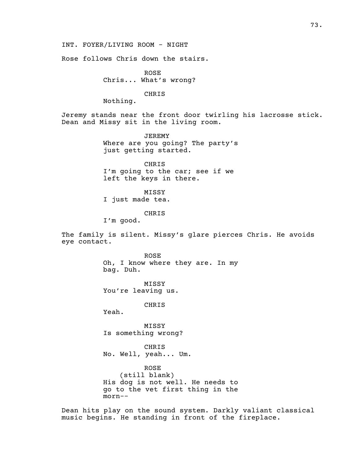INT. FOYER/LIVING ROOM - NIGHT

Rose follows Chris down the stairs.

ROSE Chris... What's wrong?

CHRIS

Nothing.

Jeremy stands near the front door twirling his lacrosse stick. Dean and Missy sit in the living room.

> JEREMY Where are you going? The party's just getting started.

CHRIS I'm going to the car; see if we left the keys in there.

MISSY I just made tea.

CHRIS

I'm good.

The family is silent. Missy's glare pierces Chris. He avoids eye contact.

> ROSE Oh, I know where they are. In my bag. Duh.

MISSY You're leaving us.

CHRIS

Yeah.

MISSY Is something wrong?

CHRIS No. Well, yeah... Um.

ROSE (still blank) His dog is not well. He needs to go to the vet first thing in the morn--

Dean hits play on the sound system. Darkly valiant classical music begins. He standing in front of the fireplace.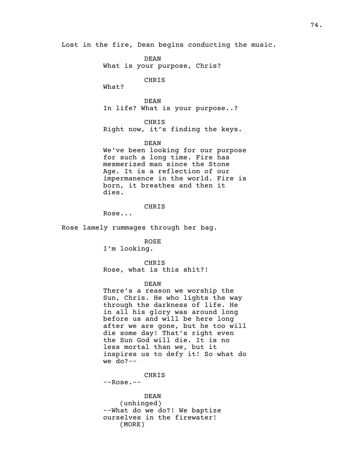Lost in the fire, Dean begins conducting the music.

DEAN What is your purpose, Chris?

CHRIS

What?

DEAN In life? What is your purpose..?

CHRIS Right now, it's finding the keys.

## DEAN

We've been looking for our purpose for such a long time. Fire has mesmerized man since the Stone Age. It is a reflection of our impermanence in the world. Fire is born, it breathes and then it dies.

# CHRIS

Rose...

Rose lamely rummages through her bag.

ROSE I'm looking.

CHRIS Rose, what is this shit?!

## DEAN

There's a reason we worship the Sun, Chris. He who lights the way through the darkness of life. He in all his glory was around long before us and will be here long after we are gone, but he too will die some day! That's right even the Sun God will die. It is no less mortal than we, but it inspires us to defy it! So what do we do?--

CHRIS

--Rose.--

DEAN (unhinged) --What do we do?! We baptize ourselves in the firewater! (MORE)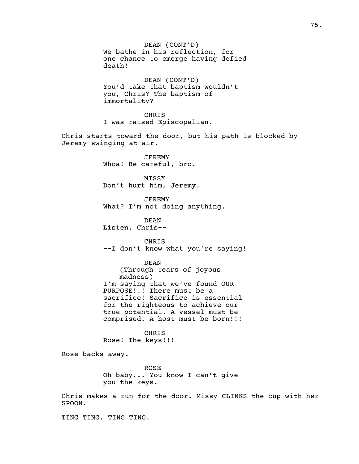DEAN (CONT'D) We bathe in his reflection, for one chance to emerge having defied death! DEAN (CONT'D) You'd take that baptism wouldn't you, Chris? The baptism of immortality? CHRIS I was raised Episcopalian. Chris starts toward the door, but his path is blocked by Jeremy swinging at air. JEREMY Whoa! Be careful, bro. MISSY Don't hurt him, Jeremy. JEREMY What? I'm not doing anything. DEAN Listen, Chris-- CHRIS --I don't know what you're saying! DEAN (Through tears of joyous madness) I'm saying that we've found OUR PURPOSE!!! There must be a sacrifice! Sacrifice is essential for the righteous to achieve our true potential. A vessel must be comprised. A host must be born!!! CHRIS Rose! The keys!!! Rose backs away. ROSE Oh baby... You know I can't give you the keys. Chris makes a run for the door. Missy CLINKS the cup with her SPOON. TING TING. TING TING.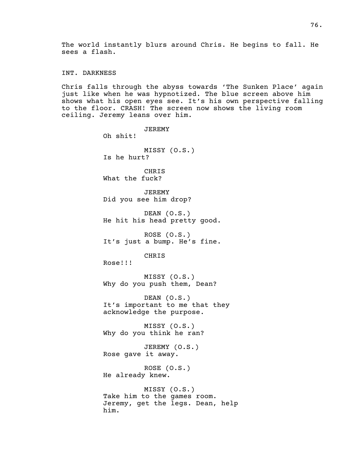The world instantly blurs around Chris. He begins to fall. He sees a flash.

INT. DARKNESS

Chris falls through the abyss towards 'The Sunken Place' again just like when he was hypnotized. The blue screen above him shows what his open eyes see. It's his own perspective falling to the floor. CRASH! The screen now shows the living room ceiling. Jeremy leans over him.

JEREMY Oh shit! MISSY (O.S.) Is he hurt? CHRIS What the fuck? JEREMY Did you see him drop? DEAN (O.S.) He hit his head pretty good. ROSE (O.S.) It's just a bump. He's fine. CHRIS Rose!!! MISSY (O.S.) Why do you push them, Dean? DEAN (O.S.) It's important to me that they acknowledge the purpose. MISSY (O.S.) Why do you think he ran? JEREMY (O.S.) Rose gave it away. ROSE (O.S.) He already knew. MISSY (O.S.) Take him to the games room. Jeremy, get the legs. Dean, help him.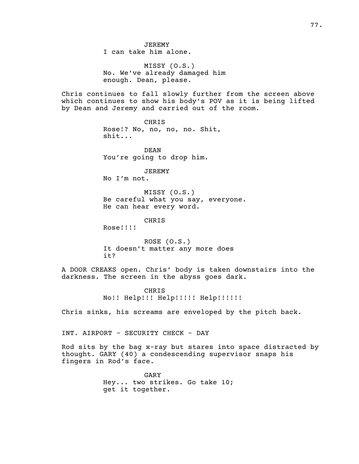JEREMY I can take him alone.

MISSY (O.S.) No. We've already damaged him enough. Dean, please.

Chris continues to fall slowly further from the screen above which continues to show his body's POV as it is being lifted by Dean and Jeremy and carried out of the room.

> CHRIS Rose!? No, no, no, no. Shit, shit...

DEAN You're going to drop him.

JEREMY No I'm not.

MISSY (O.S.) Be careful what you say, everyone. He can hear every word.

CHRIS

Rose!!!!

ROSE (O.S.) It doesn't matter any more does it?

A DOOR CREAKS open. Chris' body is taken downstairs into the darkness. The screen in the abyss goes dark.

> CHRIS No!! Help!!! Help!!!!! Help!!!!!!

Chris sinks, his screams are enveloped by the pitch back.

INT. AIRPORT - SECURITY CHECK - DAY

Rod sits by the bag x-ray but stares into space distracted by thought. GARY (40) a condescending supervisor snaps his fingers in Rod's face.

> GARY Hey... two strikes. Go take 10; get it together.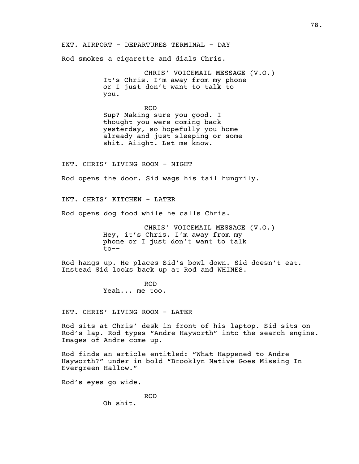EXT. AIRPORT - DEPARTURES TERMINAL - DAY

Rod smokes a cigarette and dials Chris.

CHRIS' VOICEMAIL MESSAGE (V.O.) It's Chris. I'm away from my phone or I just don't want to talk to you.

ROD Sup? Making sure you good. I thought you were coming back yesterday, so hopefully you home already and just sleeping or some shit. Aiight. Let me know.

INT. CHRIS' LIVING ROOM - NIGHT

Rod opens the door. Sid wags his tail hungrily.

INT. CHRIS' KITCHEN - LATER

Rod opens dog food while he calls Chris.

CHRIS' VOICEMAIL MESSAGE (V.O.) Hey, it's Chris. I'm away from my phone or I just don't want to talk to--

Rod hangs up. He places Sid's bowl down. Sid doesn't eat. Instead Sid looks back up at Rod and WHINES.

> ROD Yeah... me too.

INT. CHRIS' LIVING ROOM - LATER

Rod sits at Chris' desk in front of his laptop. Sid sits on Rod's lap. Rod types "Andre Hayworth" into the search engine. Images of Andre come up.

Rod finds an article entitled: "What Happened to Andre Hayworth?" under in bold "Brooklyn Native Goes Missing In Evergreen Hallow."

Rod's eyes go wide.

ROD Oh shit.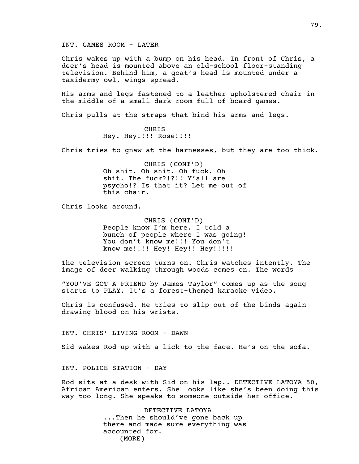INT. GAMES ROOM - LATER

Chris wakes up with a bump on his head. In front of Chris, a deer's head is mounted above an old-school floor-standing television. Behind him, a goat's head is mounted under a taxidermy owl, wings spread.

His arms and legs fastened to a leather upholstered chair in the middle of a small dark room full of board games.

Chris pulls at the straps that bind his arms and legs.

CHRIS Hey. Hey!!!! Rose!!!!

Chris tries to gnaw at the harnesses, but they are too thick.

CHRIS (CONT'D) Oh shit. Oh shit. Oh fuck. Oh shit. The fuck?!?!! Y'all are psycho!? Is that it? Let me out of this chair.

Chris looks around.

CHRIS (CONT'D) People know I'm here. I told a bunch of people where I was going! You don't know me!!! You don't know me!!!! Hey! Hey!! Hey!!!!!

The television screen turns on. Chris watches intently. The image of deer walking through woods comes on. The words

"YOU'VE GOT A FRIEND by James Taylor" comes up as the song starts to PLAY. It's a forest-themed karaoke video.

Chris is confused. He tries to slip out of the binds again drawing blood on his wrists.

INT. CHRIS' LIVING ROOM - DAWN

Sid wakes Rod up with a lick to the face. He's on the sofa.

INT. POLICE STATION - DAY

Rod sits at a desk with Sid on his lap.. DETECTIVE LATOYA 50, African American enters. She looks like she's been doing this way too long. She speaks to someone outside her office.

> DETECTIVE LATOYA ...Then he should've gone back up there and made sure everything was accounted for. (MORE)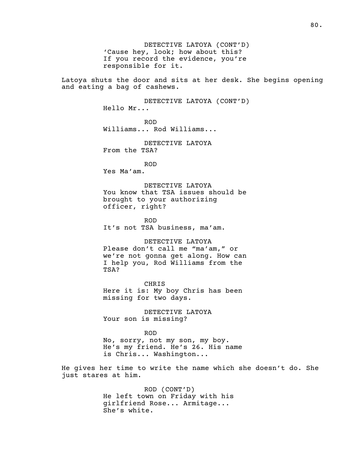DETECTIVE LATOYA (CONT'D) 'Cause hey, look; how about this? If you record the evidence, you're responsible for it.

Latoya shuts the door and sits at her desk. She begins opening and eating a bag of cashews.

> DETECTIVE LATOYA (CONT'D) Hello Mr...

ROD Williams... Rod Williams...

DETECTIVE LATOYA From the TSA?

ROD Yes Ma'am.

DETECTIVE LATOYA You know that TSA issues should be brought to your authorizing officer, right?

ROD It's not TSA business, ma'am.

DETECTIVE LATOYA Please don't call me "ma'am," or we're not gonna get along. How can I help you, Rod Williams from the TSA?

CHRIS Here it is: My boy Chris has been missing for two days.

DETECTIVE LATOYA Your son is missing?

ROD No, sorry, not my son, my boy. He's my friend. He's 26. His name is Chris... Washington...

He gives her time to write the name which she doesn't do. She just stares at him.

> ROD (CONT'D) He left town on Friday with his girlfriend Rose... Armitage... She's white.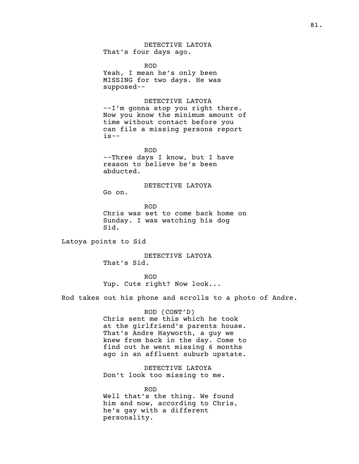DETECTIVE LATOYA That's four days ago.

ROD Yeah, I mean he's only been MISSING for two days. He was supposed--

DETECTIVE LATOYA --I'm gonna stop you right there. Now you know the minimum amount of time without contact before you can file a missing persons report  $is--$ 

ROD --Three days I know, but I have reason to believe he's been abducted.

DETECTIVE LATOYA

Go on.

ROD Chris was set to come back home on Sunday. I was watching his dog Sid.

Latoya points to Sid

DETECTIVE LATOYA That's Sid.

ROD Yup. Cute right? Now look...

Rod takes out his phone and scrolls to a photo of Andre.

ROD (CONT'D) Chris sent me this which he took at the girlfriend's parents house. That's Andre Hayworth, a guy we knew from back in the day. Come to find out he went missing 6 months ago in an affluent suburb upstate.

DETECTIVE LATOYA Don't look too missing to me.

ROD Well that's the thing. We found him and now, according to Chris, he's gay with a different personality.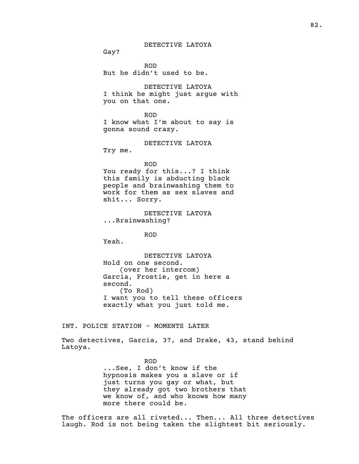# DETECTIVE LATOYA

Gay?

ROD But he didn't used to be.

DETECTIVE LATOYA I think he might just argue with you on that one.

## ROD

I know what I'm about to say is gonna sound crazy.

## DETECTIVE LATOYA

Try me.

ROD

You ready for this...? I think this family is abducting black people and brainwashing them to work for them as sex slaves and shit... Sorry.

DETECTIVE LATOYA ...Brainwashing?

ROD

Yeah.

DETECTIVE LATOYA Hold on one second. (over her intercom) Garcia, Frostie, get in here a second. (To Rod) I want you to tell these officers exactly what you just told me.

INT. POLICE STATION - MOMENTS LATER

Two detectives, Garcia, 37, and Drake, 43, stand behind Latoya.

> ROD ...See, I don't know if the hypnosis makes you a slave or if just turns you gay or what, but they already got two brothers that we know of, and who knows how many more there could be.

The officers are all riveted... Then... All three detectives laugh. Rod is not being taken the slightest bit seriously.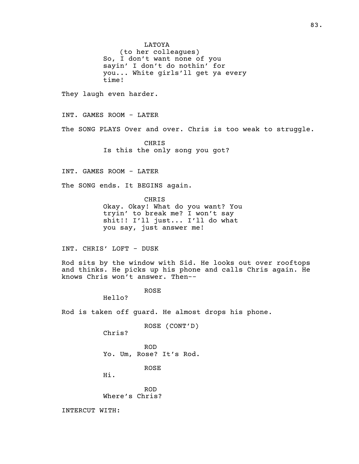LATOYA

(to her colleagues) So, I don't want none of you sayin' I don't do nothin' for you... White girls'll get ya every time!

They laugh even harder.

INT. GAMES ROOM - LATER

The SONG PLAYS Over and over. Chris is too weak to struggle.

CHRIS Is this the only song you got?

INT. GAMES ROOM - LATER

The SONG ends. It BEGINS again.

CHRIS Okay. Okay! What do you want? You tryin' to break me? I won't say shit!! I'll just... I'll do what you say, just answer me!

INT. CHRIS' LOFT - DUSK

Rod sits by the window with Sid. He looks out over rooftops and thinks. He picks up his phone and calls Chris again. He knows Chris won't answer. Then--

ROSE

Hello?

Rod is taken off guard. He almost drops his phone.

ROSE (CONT'D)

Chris?

ROD Yo. Um, Rose? It's Rod.

ROSE

Hi.

ROD Where's Chris?

INTERCUT WITH: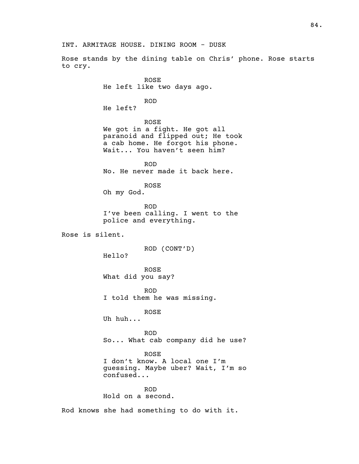INT. ARMITAGE HOUSE. DINING ROOM - DUSK

Rose stands by the dining table on Chris' phone. Rose starts to cry.

> ROSE He left like two days ago.

> > ROD

He left?

ROSE We got in a fight. He got all paranoid and flipped out; He took a cab home. He forgot his phone. Wait... You haven't seen him?

ROD No. He never made it back here.

ROSE

Oh my God.

ROD I've been calling. I went to the police and everything.

Rose is silent.

ROD (CONT'D)

Hello?

ROSE What did you say?

ROD I told them he was missing.

ROSE

Uh huh...

ROD So... What cab company did he use?

ROSE

I don't know. A local one I'm guessing. Maybe uber? Wait, I'm so confused...

ROD Hold on a second.

Rod knows she had something to do with it.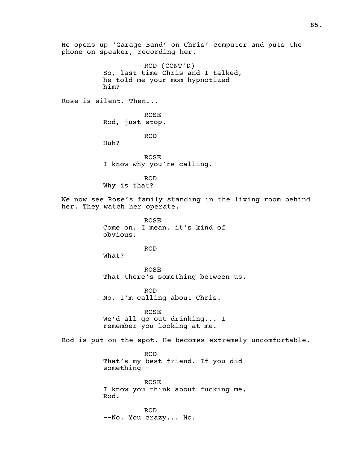He opens up 'Garage Band' on Chris' computer and puts the phone on speaker, recording her. ROD (CONT'D) So, last time Chris and I talked, he told me your mom hypnotized him? Rose is silent. Then... ROSE Rod, just stop. ROD Huh? ROSE I know why you're calling. ROD Why is that? We now see Rose's family standing in the living room behind her. They watch her operate. ROSE Come on. I mean, it's kind of obvious. ROD What? ROSE That there's something between us. ROD No. I'm calling about Chris. ROSE We'd all go out drinking... I remember you looking at me. Rod is put on the spot. He becomes extremely uncomfortable. ROD That's my best friend. If you did something-- ROSE I know you think about fucking me, Rod. ROD --No. You crazy... No.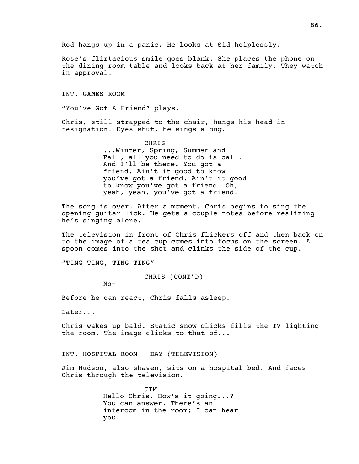Rose's flirtacious smile goes blank. She places the phone on the dining room table and looks back at her family. They watch in approval.

INT. GAMES ROOM

"You've Got A Friend" plays.

Chris, still strapped to the chair, hangs his head in resignation. Eyes shut, he sings along.

> CHRIS ...Winter, Spring, Summer and Fall, all you need to do is call. And I'll be there. You got a friend. Ain't it good to know you've got a friend. Ain't it good to know you've got a friend. Oh, yeah, yeah, you've got a friend.

The song is over. After a moment. Chris begins to sing the opening guitar lick. He gets a couple notes before realizing he's singing alone.

The television in front of Chris flickers off and then back on to the image of a tea cup comes into focus on the screen. A spoon comes into the shot and clinks the side of the cup.

"TING TING, TING TING"

CHRIS (CONT'D)

No-

Before he can react, Chris falls asleep.

Later...

Chris wakes up bald. Static snow clicks fills the TV lighting the room. The image clicks to that of...

INT. HOSPITAL ROOM - DAY (TELEVISION)

Jim Hudson, also shaven, sits on a hospital bed. And faces Chris through the television.

> JIM Hello Chris. How's it going...? You can answer. There's an intercom in the room; I can hear you.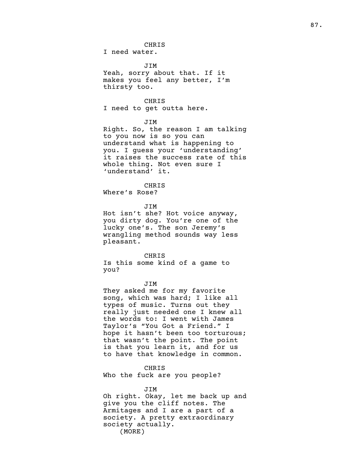CHRIS

I need water.

JIM Yeah, sorry about that. If it makes you feel any better, I'm thirsty too.

CHRIS I need to get outta here.

JIM

Right. So, the reason I am talking to you now is so you can understand what is happening to you. I guess your 'understanding' it raises the success rate of this whole thing. Not even sure I 'understand' it.

CHRIS Where's Rose?

JIM

Hot isn't she? Hot voice anyway, you dirty dog. You're one of the lucky one's. The son Jeremy's wrangling method sounds way less pleasant.

CHRIS

Is this some kind of a game to you?

JIM

They asked me for my favorite song, which was hard; I like all types of music. Turns out they really just needed one I knew all the words to: I went with James Taylor's "You Got a Friend." I hope it hasn't been too torturous; that wasn't the point. The point is that you learn it, and for us to have that knowledge in common.

CHRIS

Who the fuck are you people?

JIM Oh right. Okay, let me back up and give you the cliff notes. The Armitages and I are a part of a society. A pretty extraordinary society actually. (MORE)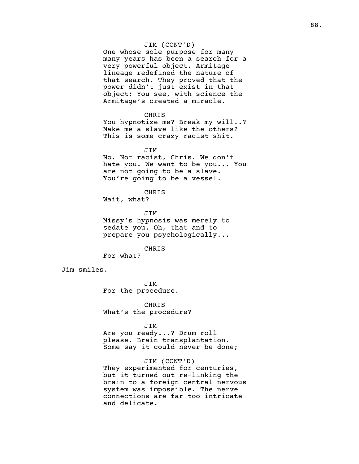# JIM (CONT'D)

One whose sole purpose for many many years has been a search for a very powerful object. Armitage lineage redefined the nature of that search. They proved that the power didn't just exist in that object; You see, with science the Armitage's created a miracle.

### CHRIS

You hypnotize me? Break my will..? Make me a slave like the others? This is some crazy racist shit.

### JIM

No. Not racist, Chris. We don't hate you. We want to be you... You are not going to be a slave. You're going to be a vessel.

## CHRIS

Wait, what?

# JIM Missy's hypnosis was merely to sedate you. Oh, that and to prepare you psychologically...

#### CHRIS

For what?

Jim smiles.

JIM For the procedure.

CHRIS What's the procedure?

#### JIM

Are you ready...? Drum roll please. Brain transplantation. Some say it could never be done;

# JIM (CONT'D)

They experimented for centuries, but it turned out re-linking the brain to a foreign central nervous system was impossible. The nerve connections are far too intricate and delicate.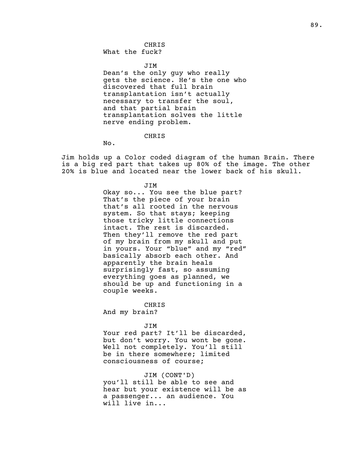CHRIS What the fuck?

JIM

Dean's the only guy who really gets the science. He's the one who discovered that full brain transplantation isn't actually necessary to transfer the soul, and that partial brain transplantation solves the little nerve ending problem.

CHRIS

No.

Jim holds up a Color coded diagram of the human Brain. There is a big red part that takes up 80% of the image. The other 20% is blue and located near the lower back of his skull.

> JIM Okay so... You see the blue part? That's the piece of your brain that's all rooted in the nervous system. So that stays; keeping those tricky little connections intact. The rest is discarded. Then they'll remove the red part of my brain from my skull and put in yours. Your "blue" and my "red" basically absorb each other. And apparently the brain heals surprisingly fast, so assuming everything goes as planned, we should be up and functioning in a couple weeks.

CHRIS And my brain?

JIM

Your red part? It'll be discarded, but don't worry. You wont be gone. Well not completely. You'll still be in there somewhere; limited consciousness of course;

JIM (CONT'D) you'll still be able to see and hear but your existence will be as a passenger... an audience. You will live in...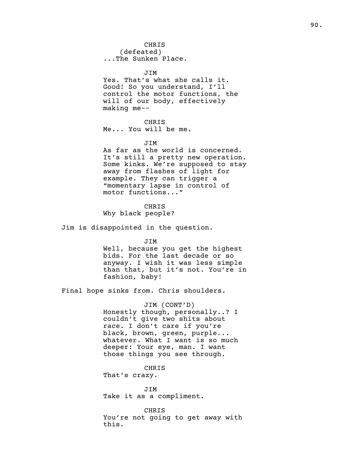JIM Yes. That's what she calls it. Good! So you understand, I'll control the motor functions, the will of our body, effectively making me--

CHRIS Me... You will be me.

## JIM

As far as the world is concerned. It's still a pretty new operation. Some kinks. We're supposed to stay away from flashes of light for example. They can trigger a "momentary lapse in control of motor functions..."

CHRIS Why black people?

Jim is disappointed in the question.

JIM

Well, because you get the highest bids. For the last decade or so anyway. I wish it was less simple than that, but it's not. You're in fashion, baby!

Final hope sinks from. Chris shoulders.

JIM (CONT'D) Honestly though, personally..? I couldn't give two shits about race. I don't care if you're black, brown, green, purple... whatever. What I want is so much deeper: Your eye, man. I want those things you see through.

CHRIS That's crazy.

JIM Take it as a compliment.

CHRIS You're not going to get away with this.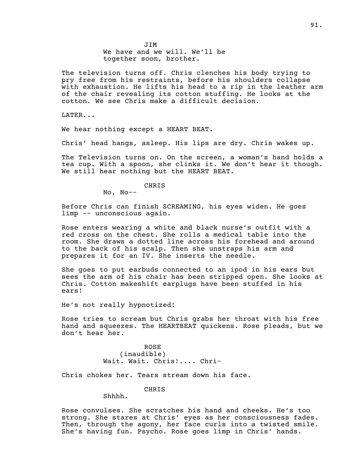The television turns off. Chris clenches his body trying to pry free from his restraints, before his shoulders collapse with exhaustion. He lifts his head to a rip in the leather arm of the chair revealing its cotton stuffing. He looks at the cotton. We see Chris make a difficult decision.

LATER...

We hear nothing except a HEART BEAT.

Chris' head hangs, asleep. His lips are dry. Chris wakes up.

The Television turns on. On the screen, a woman's hand holds a tea cup. With a spoon, she clinks it. We don't hear it though. We still hear nothing but the HEART BEAT.

CHRIS

No, No--

Before Chris can finish SCREAMING, his eyes widen. He goes limp -- unconscious again.

Rose enters wearing a white and black nurse's outfit with a red cross on the chest. She rolls a medical table into the room. She draws a dotted line across his forehead and around to the back of his scalp. Then she unstraps his arm and prepares it for an IV. She inserts the needle.

She goes to put earbuds connected to an ipod in his ears but sees the arm of his chair has been stripped open. She looks at Chris. Cotton makeshift earplugs have been stuffed in his ears!

He's not really hypnotized!

Rose tries to scream but Chris grabs her throat with his free hand and squeezes. The HEARTBEAT quickens. Rose pleads, but we don't hear her.

> ROSE (inaudible) Wait. Wait. Chris!.... Chri-

Chris chokes her. Tears stream down his face.

# CHRIS

Shhhh.

Rose convulses. She scratches his hand and cheeks. He's too strong. She stares at Chris' eyes as her consciousness fades. Then, through the agony, her face curls into a twisted smile. She's having fun. Psycho. Rose goes limp in Chris' hands.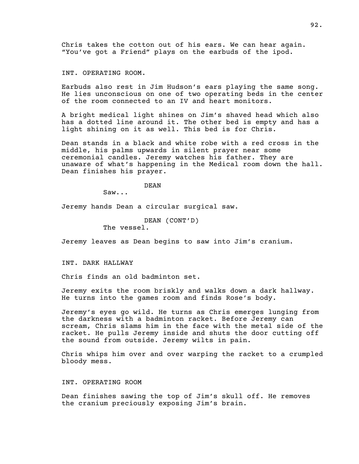Chris takes the cotton out of his ears. We can hear again. "You've got a Friend" plays on the earbuds of the ipod.

INT. OPERATING ROOM.

Earbuds also rest in Jim Hudson's ears playing the same song. He lies unconscious on one of two operating beds in the center of the room connected to an IV and heart monitors.

A bright medical light shines on Jim's shaved head which also has a dotted line around it. The other bed is empty and has a light shining on it as well. This bed is for Chris.

Dean stands in a black and white robe with a red cross in the middle, his palms upwards in silent prayer near some ceremonial candles. Jeremy watches his father. They are unaware of what's happening in the Medical room down the hall. Dean finishes his prayer.

DEAN

Saw...

Jeremy hands Dean a circular surgical saw.

```
DEAN (CONT'D)
```
The vessel.

Jeremy leaves as Dean begins to saw into Jim's cranium.

INT. DARK HALLWAY

Chris finds an old badminton set.

Jeremy exits the room briskly and walks down a dark hallway. He turns into the games room and finds Rose's body.

Jeremy's eyes go wild. He turns as Chris emerges lunging from the darkness with a badminton racket. Before Jeremy can scream, Chris slams him in the face with the metal side of the racket. He pulls Jeremy inside and shuts the door cutting off the sound from outside. Jeremy wilts in pain.

Chris whips him over and over warping the racket to a crumpled bloody mess.

# INT. OPERATING ROOM

Dean finishes sawing the top of Jim's skull off. He removes the cranium preciously exposing Jim's brain.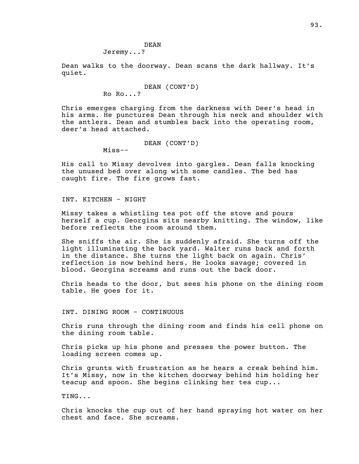DEAN Jeremy...?

Dean walks to the doorway. Dean scans the dark hallway. It's quiet.

```
DEAN (CONT'D)
Ro Ro...?
```
Chris emerges charging from the darkness with Deer's head in his arms. He punctures Dean through his neck and shoulder with the antlers. Dean and stumbles back into the operating room, deer's head attached.

```
DEAN (CONT'D)
```
Miss--

His call to Missy devolves into gargles. Dean falls knocking the unused bed over along with some candles. The bed has caught fire. The fire grows fast.

INT. KITCHEN - NIGHT

Missy takes a whistling tea pot off the stove and pours herself a cup. Georgina sits nearby knitting. The window, like before reflects the room around them.

She sniffs the air. She is suddenly afraid. She turns off the light illuminating the back yard. Walter runs back and forth in the distance. She turns the light back on again. Chris' reflection is now behind hers. He looks savage; covered in blood. Georgina screams and runs out the back door.

Chris heads to the door, but sees his phone on the dining room table. He goes for it.

INT. DINING ROOM - CONTINUOUS

Chris runs through the dining room and finds his cell phone on the dining room table.

Chris picks up his phone and presses the power button. The loading screen comes up.

Chris grunts with frustration as he hears a creak behind him. It's Missy, now in the kitchen doorway behind him holding her teacup and spoon. She begins clinking her tea cup...

TING...

Chris knocks the cup out of her hand spraying hot water on her chest and face. She screams.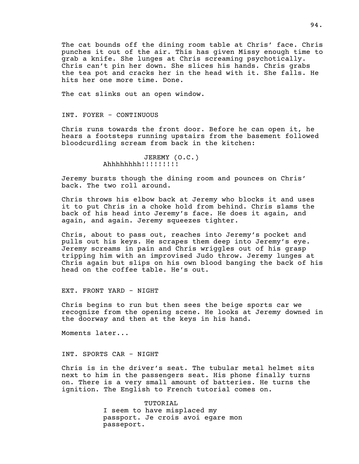The cat bounds off the dining room table at Chris' face. Chris punches it out of the air. This has given Missy enough time to grab a knife. She lunges at Chris screaming psychotically. Chris can't pin her down. She slices his hands. Chris grabs the tea pot and cracks her in the head with it. She falls. He hits her one more time. Done.

The cat slinks out an open window.

## INT. FOYER - CONTINUOUS

Chris runs towards the front door. Before he can open it, he hears a footsteps running upstairs from the basement followed bloodcurdling scream from back in the kitchen:

```
JEREMY (O.C.)
Ahhhhhhhh!!!!!!!!!
```
Jeremy bursts though the dining room and pounces on Chris' back. The two roll around.

Chris throws his elbow back at Jeremy who blocks it and uses it to put Chris in a choke hold from behind. Chris slams the back of his head into Jeremy's face. He does it again, and again, and again. Jeremy squeezes tighter.

Chris, about to pass out, reaches into Jeremy's pocket and pulls out his keys. He scrapes them deep into Jeremy's eye. Jeremy screams in pain and Chris wriggles out of his grasp tripping him with an improvised Judo throw. Jeremy lunges at Chris again but slips on his own blood banging the back of his head on the coffee table. He's out.

EXT. FRONT YARD - NIGHT

Chris begins to run but then sees the beige sports car we recognize from the opening scene. He looks at Jeremy downed in the doorway and then at the keys in his hand.

Moments later...

## INT. SPORTS CAR - NIGHT

Chris is in the driver's seat. The tubular metal helmet sits next to him in the passengers seat. His phone finally turns on. There is a very small amount of batteries. He turns the ignition. The English to French tutorial comes on.

> TUTORIAL I seem to have misplaced my passport. Je crois avoi egare mon passeport.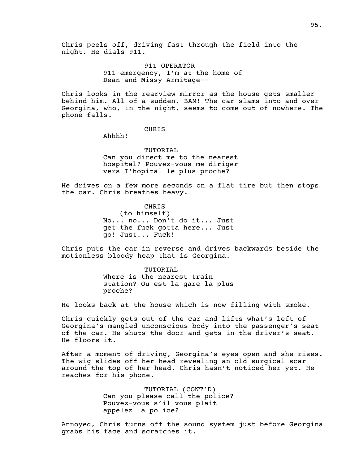Chris peels off, driving fast through the field into the night. He dials 911.

> 911 OPERATOR 911 emergency, I'm at the home of Dean and Missy Armitage--

Chris looks in the rearview mirror as the house gets smaller behind him. All of a sudden, BAM! The car slams into and over Georgina, who, in the night, seems to come out of nowhere. The phone falls.

# CHRIS

Ahhhh!

TUTORIAL Can you direct me to the nearest hospital? Pouvez-vous me diriger vers I'hopital le plus proche?

He drives on a few more seconds on a flat tire but then stops the car. Chris breathes heavy.

> CHRIS (to himself) No... no... Don't do it... Just get the fuck gotta here... Just go! Just... Fuck!

Chris puts the car in reverse and drives backwards beside the motionless bloody heap that is Georgina.

> TUTORIAL Where is the nearest train station? Ou est la gare la plus proche?

He looks back at the house which is now filling with smoke.

Chris quickly gets out of the car and lifts what's left of Georgina's mangled unconscious body into the passenger's seat of the car. He shuts the door and gets in the driver's seat. He floors it.

After a moment of driving, Georgina's eyes open and she rises. The wig slides off her head revealing an old surgical scar around the top of her head. Chris hasn't noticed her yet. He reaches for his phone.

> TUTORIAL (CONT'D) Can you please call the police? Pouvez-vous s'il vous plait appelez la police?

Annoyed, Chris turns off the sound system just before Georgina grabs his face and scratches it.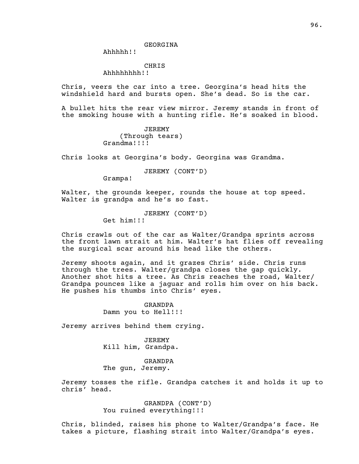Ahhhhh!!

CHRIS

Ahhhhhhhh!!

Chris, veers the car into a tree. Georgina's head hits the windshield hard and bursts open. She's dead. So is the car.

A bullet hits the rear view mirror. Jeremy stands in front of the smoking house with a hunting rifle. He's soaked in blood.

> JEREMY (Through tears) Grandma!!!!

Chris looks at Georgina's body. Georgina was Grandma.

JEREMY (CONT'D)

Grampa!

Walter, the grounds keeper, rounds the house at top speed. Walter is grandpa and he's so fast.

> JEREMY (CONT'D) Get him!!!

Chris crawls out of the car as Walter/Grandpa sprints across the front lawn strait at him. Walter's hat flies off revealing the surgical scar around his head like the others.

Jeremy shoots again, and it grazes Chris' side. Chris runs through the trees. Walter/grandpa closes the gap quickly. Another shot hits a tree. As Chris reaches the road, Walter/ Grandpa pounces like a jaguar and rolls him over on his back. He pushes his thumbs into Chris' eyes.

> GRANDPA Damn you to Hell!!!

Jeremy arrives behind them crying.

JEREMY Kill him, Grandpa.

GRANDPA The gun, Jeremy.

Jeremy tosses the rifle. Grandpa catches it and holds it up to chris' head.

> GRANDPA (CONT'D) You ruined everything!!!

Chris, blinded, raises his phone to Walter/Grandpa's face. He takes a picture, flashing strait into Walter/Grandpa's eyes.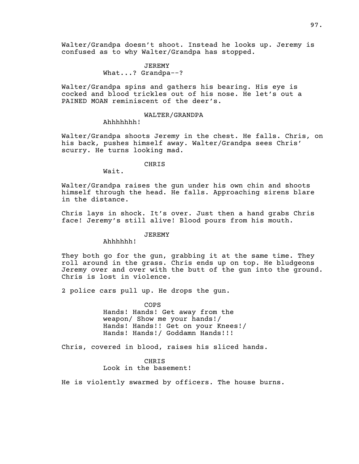Walter/Grandpa doesn't shoot. Instead he looks up. Jeremy is confused as to why Walter/Grandpa has stopped.

> JEREMY What...? Grandpa--?

Walter/Grandpa spins and gathers his bearing. His eye is cocked and blood trickles out of his nose. He let's out a PAINED MOAN reminiscent of the deer's.

## WALTER/GRANDPA

Ahhhhhhh!

Walter/Grandpa shoots Jeremy in the chest. He falls. Chris, on his back, pushes himself away. Walter/Grandpa sees Chris' scurry. He turns looking mad.

CHRIS

Wait.

Walter/Grandpa raises the gun under his own chin and shoots himself through the head. He falls. Approaching sirens blare in the distance.

Chris lays in shock. It's over. Just then a hand grabs Chris face! Jeremy's still alive! Blood pours from his mouth.

# JEREMY

Ahhhhhh!

They both go for the gun, grabbing it at the same time. They roll around in the grass. Chris ends up on top. He bludgeons Jeremy over and over with the butt of the gun into the ground. Chris is lost in violence.

2 police cars pull up. He drops the gun.

COPS Hands! Hands! Get away from the weapon/ Show me your hands!/ Hands! Hands!! Get on your Knees!/ Hands! Hands!/ Goddamn Hands!!!

Chris, covered in blood, raises his sliced hands.

CHRIS Look in the basement!

He is violently swarmed by officers. The house burns.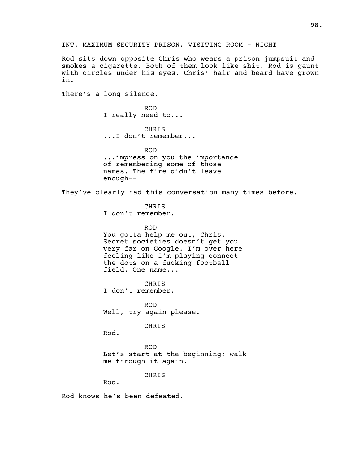INT. MAXIMUM SECURITY PRISON. VISITING ROOM - NIGHT

Rod sits down opposite Chris who wears a prison jumpsuit and smokes a cigarette. Both of them look like shit. Rod is gaunt with circles under his eyes. Chris' hair and beard have grown in.

There's a long silence.

ROD I really need to...

CHRIS ...I don't remember...

ROD ...impress on you the importance of remembering some of those names. The fire didn't leave enough--

They've clearly had this conversation many times before.

CHRIS I don't remember.

ROD

You gotta help me out, Chris. Secret societies doesn't get you very far on Google. I'm over here feeling like I'm playing connect the dots on a fucking football field. One name...

CHRIS I don't remember.

ROD Well, try again please.

CHRIS

Rod.

ROD Let's start at the beginning; walk me through it again.

CHRIS

Rod.

Rod knows he's been defeated.